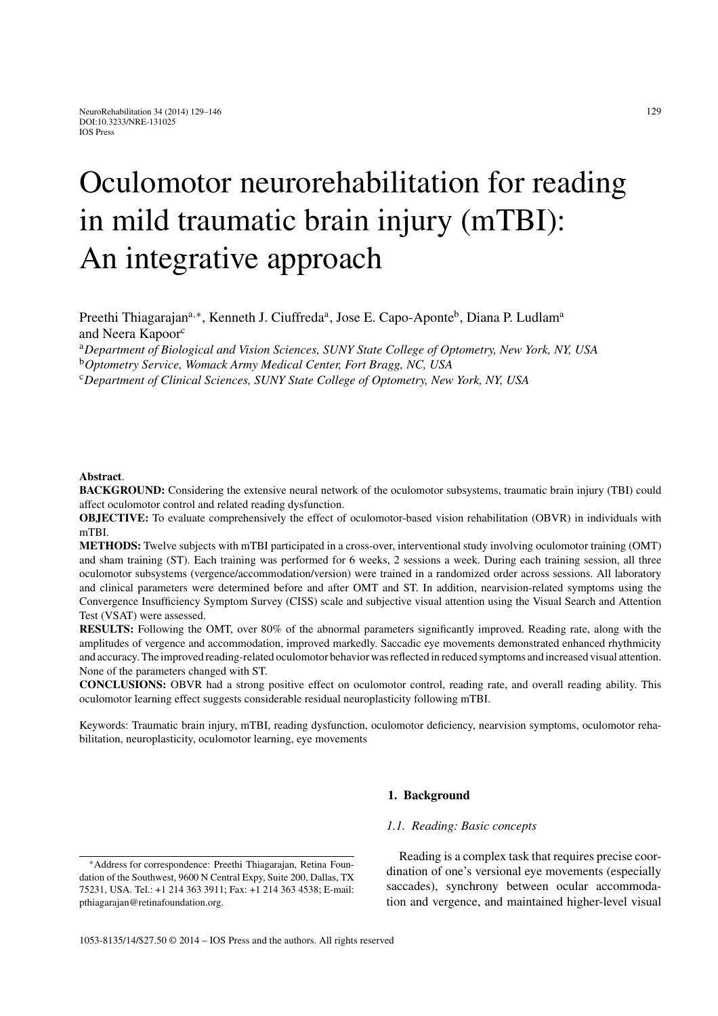# Oculomotor neurorehabilitation for reading in mild traumatic brain injury (mTBI): An integrative approach

Preethi Thiagarajan<sup>a,∗</sup>, Kenneth J. Ciuffreda<sup>a</sup>, Jose E. Capo-Aponte<sup>b</sup>, Diana P. Ludlam<sup>a</sup> and Neera Kapoor<sup>c</sup>

<sup>a</sup>*Department of Biological and Vision Sciences, SUNY State College of Optometry, New York, NY, USA*

<sup>b</sup>*Optometry Service, Womack Army Medical Center, Fort Bragg, NC, USA*

<sup>c</sup>*Department of Clinical Sciences, SUNY State College of Optometry, New York, NY, USA*

#### **Abstract**.

**BACKGROUND:** Considering the extensive neural network of the oculomotor subsystems, traumatic brain injury (TBI) could affect oculomotor control and related reading dysfunction.

**OBJECTIVE:** To evaluate comprehensively the effect of oculomotor-based vision rehabilitation (OBVR) in individuals with mTBI.

**METHODS:** Twelve subjects with mTBI participated in a cross-over, interventional study involving oculomotor training (OMT) and sham training (ST). Each training was performed for 6 weeks, 2 sessions a week. During each training session, all three oculomotor subsystems (vergence/accommodation/version) were trained in a randomized order across sessions. All laboratory and clinical parameters were determined before and after OMT and ST. In addition, nearvision-related symptoms using the Convergence Insufficiency Symptom Survey (CISS) scale and subjective visual attention using the Visual Search and Attention Test (VSAT) were assessed.

**RESULTS:** Following the OMT, over 80% of the abnormal parameters significantly improved. Reading rate, along with the amplitudes of vergence and accommodation, improved markedly. Saccadic eye movements demonstrated enhanced rhythmicity and accuracy. The improved reading-related oculomotor behavior was reflected in reduced symptoms and increased visual attention. None of the parameters changed with ST.

**CONCLUSIONS:** OBVR had a strong positive effect on oculomotor control, reading rate, and overall reading ability. This oculomotor learning effect suggests considerable residual neuroplasticity following mTBI.

Keywords: Traumatic brain injury, mTBI, reading dysfunction, oculomotor deficiency, nearvision symptoms, oculomotor rehabilitation, neuroplasticity, oculomotor learning, eye movements

#### **1. Background**

## *1.1. Reading: Basic concepts*

1053-8135/14/\$27.50 © 2014 – IOS Press and the authors. All rights reserved

Reading is a complex task that requires precise coordination of one's versional eye movements (especially saccades), synchrony between ocular accommodation and vergence, and maintained higher-level visual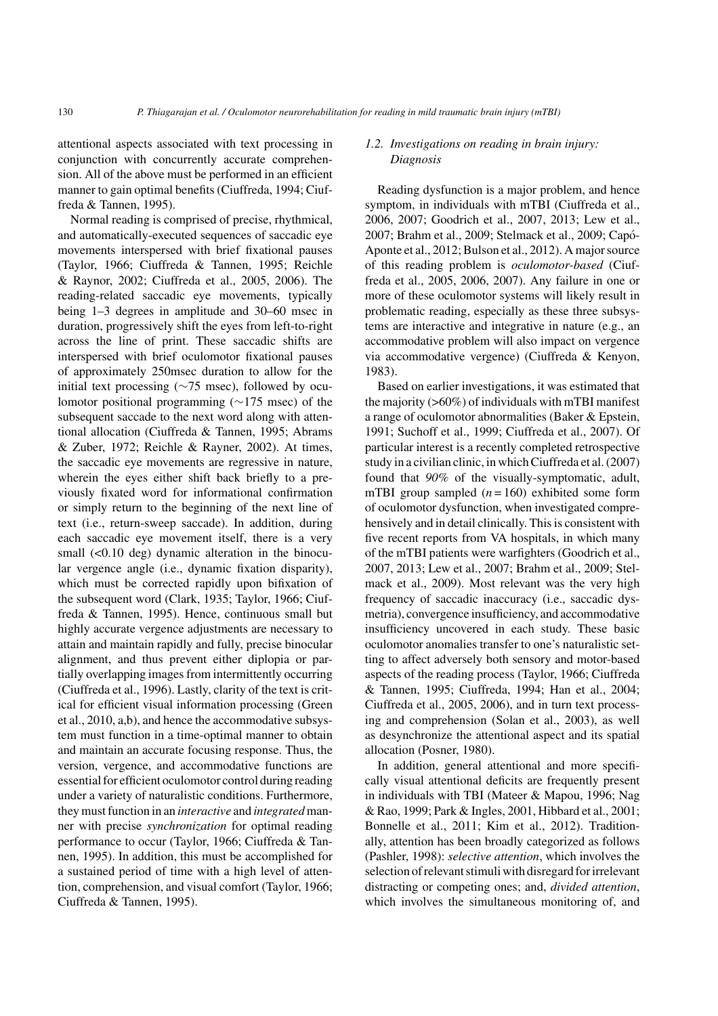attentional aspects associated with text processing in conjunction with concurrently accurate comprehension. All of the above must be performed in an efficient manner to gain optimal benefits (Ciuffreda, 1994; Ciuffreda & Tannen, 1995).

Normal reading is comprised of precise, rhythmical, and automatically-executed sequences of saccadic eye movements interspersed with brief fixational pauses (Taylor, 1966; Ciuffreda & Tannen, 1995; Reichle & Raynor, 2002; Ciuffreda et al., 2005, 2006). The reading-related saccadic eye movements, typically being 1–3 degrees in amplitude and 30–60 msec in duration, progressively shift the eyes from left-to-right across the line of print. These saccadic shifts are interspersed with brief oculomotor fixational pauses of approximately 250msec duration to allow for the initial text processing ( $\sim$ 75 msec), followed by oculomotor positional programming (∼175 msec) of the subsequent saccade to the next word along with attentional allocation (Ciuffreda & Tannen, 1995; Abrams & Zuber, 1972; Reichle & Rayner, 2002). At times, the saccadic eye movements are regressive in nature, wherein the eyes either shift back briefly to a previously fixated word for informational confirmation or simply return to the beginning of the next line of text (i.e., return-sweep saccade). In addition, during each saccadic eye movement itself, there is a very small  $( $0.10 \text{ deg}$ ) dynamic alteration in the binocu$ lar vergence angle (i.e., dynamic fixation disparity), which must be corrected rapidly upon bifixation of the subsequent word (Clark, 1935; Taylor, 1966; Ciuffreda & Tannen, 1995). Hence, continuous small but highly accurate vergence adjustments are necessary to attain and maintain rapidly and fully, precise binocular alignment, and thus prevent either diplopia or partially overlapping images from intermittently occurring (Ciuffreda et al., 1996). Lastly, clarity of the text is critical for efficient visual information processing (Green et al., 2010, a,b), and hence the accommodative subsystem must function in a time-optimal manner to obtain and maintain an accurate focusing response. Thus, the version, vergence, and accommodative functions are essential for efficient oculomotor control during reading under a variety of naturalistic conditions. Furthermore, they must function in an *interactive* and *integrated*manner with precise *synchronization* for optimal reading performance to occur (Taylor, 1966; Ciuffreda & Tannen, 1995). In addition, this must be accomplished for a sustained period of time with a high level of attention, comprehension, and visual comfort (Taylor, 1966; Ciuffreda & Tannen, 1995).

## *1.2. Investigations on reading in brain injury: Diagnosis*

Reading dysfunction is a major problem, and hence symptom, in individuals with mTBI (Ciuffreda et al., 2006, 2007; Goodrich et al., 2007, 2013; Lew et al., 2007; Brahm et al., 2009; Stelmack et al., 2009; Capó-Aponte et al., 2012; Bulson et al., 2012). A major source of this reading problem is *oculomotor-based* (Ciuffreda et al., 2005, 2006, 2007). Any failure in one or more of these oculomotor systems will likely result in problematic reading, especially as these three subsystems are interactive and integrative in nature (e.g., an accommodative problem will also impact on vergence via accommodative vergence) (Ciuffreda & Kenyon, 1983).

Based on earlier investigations, it was estimated that the majority  $(0.60\%)$  of individuals with mTBI manifest a range of oculomotor abnormalities (Baker & Epstein, 1991; Suchoff et al., 1999; Ciuffreda et al., 2007). Of particular interest is a recently completed retrospective study in a civilian clinic, in which Ciuffreda et al. (2007) found that *90%* of the visually-symptomatic, adult, mTBI group sampled  $(n = 160)$  exhibited some form of oculomotor dysfunction, when investigated comprehensively and in detail clinically. This is consistent with five recent reports from VA hospitals, in which many of the mTBI patients were warfighters (Goodrich et al., 2007, 2013; Lew et al., 2007; Brahm et al., 2009; Stelmack et al., 2009). Most relevant was the very high frequency of saccadic inaccuracy (i.e., saccadic dysmetria), convergence insufficiency, and accommodative insufficiency uncovered in each study. These basic oculomotor anomalies transfer to one's naturalistic setting to affect adversely both sensory and motor-based aspects of the reading process (Taylor, 1966; Ciuffreda & Tannen, 1995; Ciuffreda, 1994; Han et al., 2004; Ciuffreda et al., 2005, 2006), and in turn text processing and comprehension (Solan et al., 2003), as well as desynchronize the attentional aspect and its spatial allocation (Posner, 1980).

In addition, general attentional and more specifically visual attentional deficits are frequently present in individuals with TBI (Mateer & Mapou, 1996; Nag & Rao, 1999; Park & Ingles, 2001, Hibbard et al., 2001; Bonnelle et al., 2011; Kim et al., 2012). Traditionally, attention has been broadly categorized as follows (Pashler, 1998): *selective attention*, which involves the selection of relevant stimuli with disregard for irrelevant distracting or competing ones; and, *divided attention*, which involves the simultaneous monitoring of, and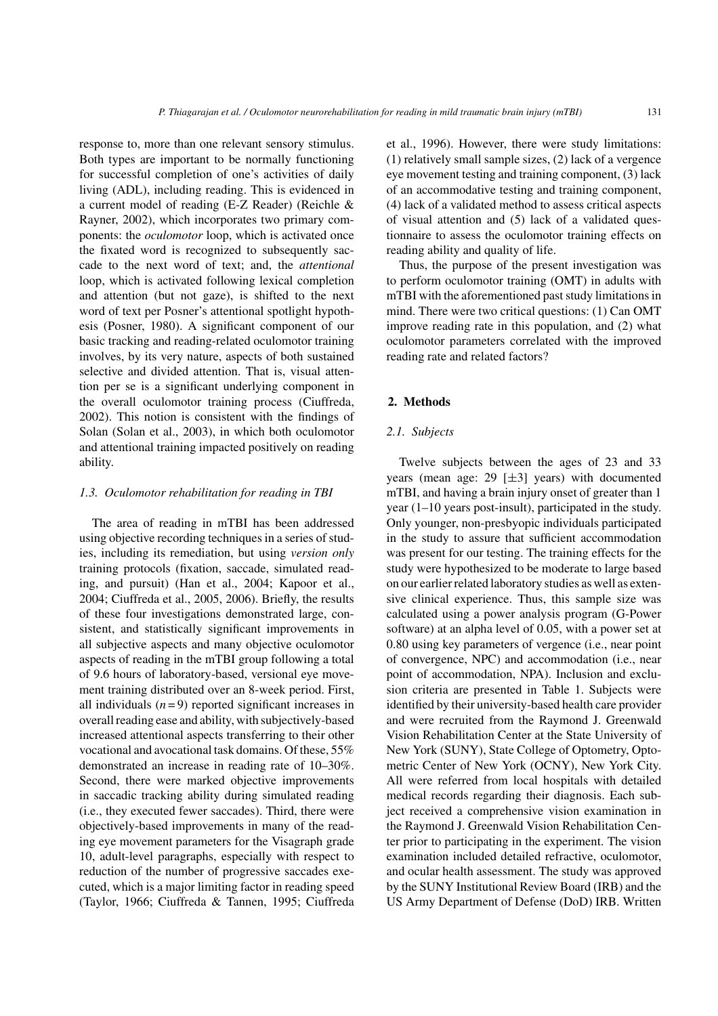response to, more than one relevant sensory stimulus. Both types are important to be normally functioning for successful completion of one's activities of daily living (ADL), including reading. This is evidenced in a current model of reading (E-Z Reader) (Reichle & Rayner, 2002), which incorporates two primary components: the *oculomotor* loop, which is activated once the fixated word is recognized to subsequently saccade to the next word of text; and, the *attentional* loop, which is activated following lexical completion and attention (but not gaze), is shifted to the next word of text per Posner's attentional spotlight hypothesis (Posner, 1980). A significant component of our basic tracking and reading-related oculomotor training involves, by its very nature, aspects of both sustained selective and divided attention. That is, visual attention per se is a significant underlying component in the overall oculomotor training process (Ciuffreda, 2002). This notion is consistent with the findings of Solan (Solan et al., 2003), in which both oculomotor and attentional training impacted positively on reading ability.

#### *1.3. Oculomotor rehabilitation for reading in TBI*

The area of reading in mTBI has been addressed using objective recording techniques in a series of studies, including its remediation, but using *version only* training protocols (fixation, saccade, simulated reading, and pursuit) (Han et al., 2004; Kapoor et al., 2004; Ciuffreda et al., 2005, 2006). Briefly, the results of these four investigations demonstrated large, consistent, and statistically significant improvements in all subjective aspects and many objective oculomotor aspects of reading in the mTBI group following a total of 9.6 hours of laboratory-based, versional eye movement training distributed over an 8-week period. First, all individuals  $(n=9)$  reported significant increases in overall reading ease and ability, with subjectively-based increased attentional aspects transferring to their other vocational and avocational task domains. Of these, 55% demonstrated an increase in reading rate of 10–30%. Second, there were marked objective improvements in saccadic tracking ability during simulated reading (i.e., they executed fewer saccades). Third, there were objectively-based improvements in many of the reading eye movement parameters for the Visagraph grade 10, adult-level paragraphs, especially with respect to reduction of the number of progressive saccades executed, which is a major limiting factor in reading speed (Taylor, 1966; Ciuffreda & Tannen, 1995; Ciuffreda et al., 1996). However, there were study limitations: (1) relatively small sample sizes, (2) lack of a vergence eye movement testing and training component, (3) lack of an accommodative testing and training component, (4) lack of a validated method to assess critical aspects of visual attention and (5) lack of a validated questionnaire to assess the oculomotor training effects on reading ability and quality of life.

Thus, the purpose of the present investigation was to perform oculomotor training (OMT) in adults with mTBI with the aforementioned past study limitations in mind. There were two critical questions: (1) Can OMT improve reading rate in this population, and (2) what oculomotor parameters correlated with the improved reading rate and related factors?

# **2. Methods**

## *2.1. Subjects*

Twelve subjects between the ages of 23 and 33 years (mean age: 29  $[\pm 3]$  years) with documented mTBI, and having a brain injury onset of greater than 1 year (1–10 years post-insult), participated in the study. Only younger, non-presbyopic individuals participated in the study to assure that sufficient accommodation was present for our testing. The training effects for the study were hypothesized to be moderate to large based on our earlier related laboratory studies as well as extensive clinical experience. Thus, this sample size was calculated using a power analysis program (G-Power software) at an alpha level of 0.05, with a power set at 0.80 using key parameters of vergence (i.e., near point of convergence, NPC) and accommodation (i.e., near point of accommodation, NPA). Inclusion and exclusion criteria are presented in Table 1. Subjects were identified by their university-based health care provider and were recruited from the Raymond J. Greenwald Vision Rehabilitation Center at the State University of New York (SUNY), State College of Optometry, Optometric Center of New York (OCNY), New York City. All were referred from local hospitals with detailed medical records regarding their diagnosis. Each subject received a comprehensive vision examination in the Raymond J. Greenwald Vision Rehabilitation Center prior to participating in the experiment. The vision examination included detailed refractive, oculomotor, and ocular health assessment. The study was approved by the SUNY Institutional Review Board (IRB) and the US Army Department of Defense (DoD) IRB. Written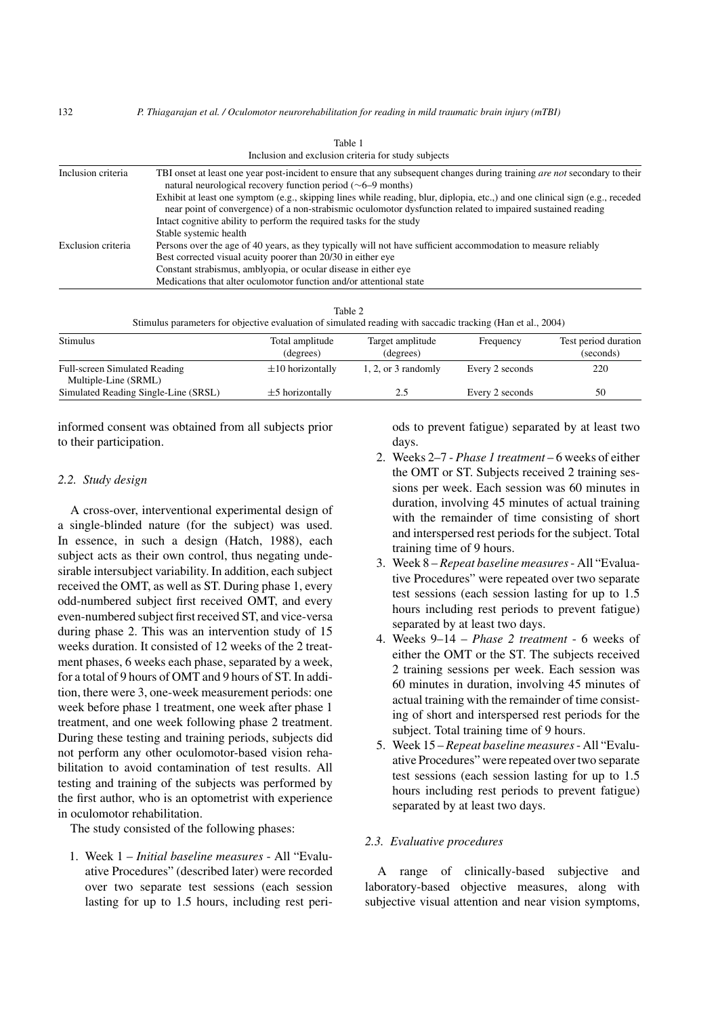| Inclusion criteria | TBI onset at least one year post-incident to ensure that any subsequent changes during training are not secondary to their<br>natural neurological recovery function period $(\sim 6-9 \text{ months})$                                      |
|--------------------|----------------------------------------------------------------------------------------------------------------------------------------------------------------------------------------------------------------------------------------------|
|                    | Exhibit at least one symptom (e.g., skipping lines while reading, blur, diplopia, etc.,) and one clinical sign (e.g., receded<br>near point of convergence) of a non-strabismic oculomotor dysfunction related to impaired sustained reading |
|                    | Intact cognitive ability to perform the required tasks for the study                                                                                                                                                                         |
|                    | Stable systemic health                                                                                                                                                                                                                       |
| Exclusion criteria | Persons over the age of 40 years, as they typically will not have sufficient accommodation to measure reliably                                                                                                                               |
|                    | Best corrected visual acuity poorer than 20/30 in either eye                                                                                                                                                                                 |
|                    | Constant strabismus, amblyopia, or ocular disease in either eye                                                                                                                                                                              |
|                    | Medications that alter oculomotor function and/or attentional state                                                                                                                                                                          |

| Table 1                                            |  |
|----------------------------------------------------|--|
| Inclusion and exclusion criteria for study subject |  |

Stimulus parameters for objective evaluation of simulated reading with saccadic tracking (Han et al., 2004)

| Stimulus                                                     | Total amplitude<br>(degrees) | Target amplitude<br>(degrees) | Frequency       | Test period duration<br>(seconds) |  |
|--------------------------------------------------------------|------------------------------|-------------------------------|-----------------|-----------------------------------|--|
| <b>Full-screen Simulated Reading</b><br>Multiple-Line (SRML) | $\pm 10$ horizontally        | $1, 2$ , or 3 randomly        | Every 2 seconds | 220                               |  |
| Simulated Reading Single-Line (SRSL)                         | $\pm$ 5 horizontally         | 2.5                           | Every 2 seconds | 50                                |  |

informed consent was obtained from all subjects prior to their participation.

## *2.2. Study design*

A cross-over, interventional experimental design of a single-blinded nature (for the subject) was used. In essence, in such a design (Hatch, 1988), each subject acts as their own control, thus negating undesirable intersubject variability. In addition, each subject received the OMT, as well as ST. During phase 1, every odd-numbered subject first received OMT, and every even-numbered subject first received ST, and vice-versa during phase 2. This was an intervention study of 15 weeks duration. It consisted of 12 weeks of the 2 treatment phases, 6 weeks each phase, separated by a week, for a total of 9 hours of OMT and 9 hours of ST. In addition, there were 3, one-week measurement periods: one week before phase 1 treatment, one week after phase 1 treatment, and one week following phase 2 treatment. During these testing and training periods, subjects did not perform any other oculomotor-based vision rehabilitation to avoid contamination of test results. All testing and training of the subjects was performed by the first author, who is an optometrist with experience in oculomotor rehabilitation.

The study consisted of the following phases:

1. Week 1 – *Initial baseline measures* - All "Evaluative Procedures" (described later) were recorded over two separate test sessions (each session lasting for up to 1.5 hours, including rest periods to prevent fatigue) separated by at least two days.

- 2. Weeks 2–7 *Phase 1 treatment* 6 weeks of either the OMT or ST. Subjects received 2 training sessions per week. Each session was 60 minutes in duration, involving 45 minutes of actual training with the remainder of time consisting of short and interspersed rest periods for the subject. Total training time of 9 hours.
- 3. Week 8 *Repeat baseline measures* All "Evaluative Procedures" were repeated over two separate test sessions (each session lasting for up to 1.5 hours including rest periods to prevent fatigue) separated by at least two days.
- 4. Weeks 9–14 *Phase 2 treatment* 6 weeks of either the OMT or the ST. The subjects received 2 training sessions per week. Each session was 60 minutes in duration, involving 45 minutes of actual training with the remainder of time consisting of short and interspersed rest periods for the subject. Total training time of 9 hours.
- 5. Week 15 *Repeat baseline measures* All "Evaluative Procedures" were repeated over two separate test sessions (each session lasting for up to 1.5 hours including rest periods to prevent fatigue) separated by at least two days.

## *2.3. Evaluative procedures*

A range of clinically-based subjective and laboratory-based objective measures, along with subjective visual attention and near vision symptoms,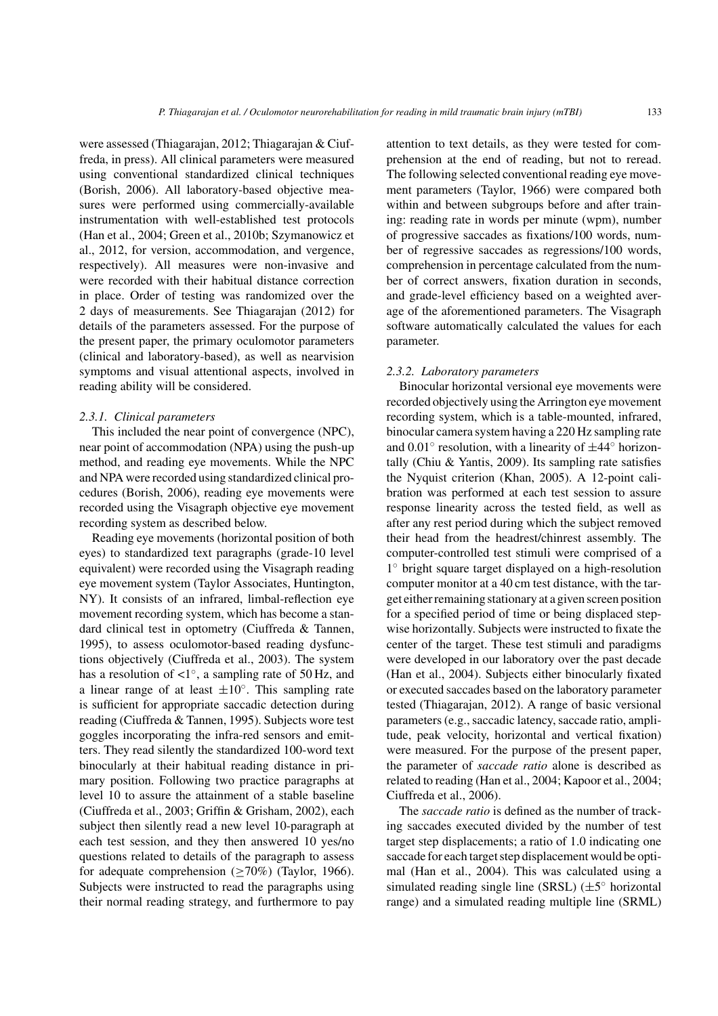were assessed (Thiagarajan, 2012; Thiagarajan & Ciuffreda, in press). All clinical parameters were measured using conventional standardized clinical techniques (Borish, 2006). All laboratory-based objective measures were performed using commercially-available instrumentation with well-established test protocols (Han et al., 2004; Green et al., 2010b; Szymanowicz et al., 2012, for version, accommodation, and vergence, respectively). All measures were non-invasive and were recorded with their habitual distance correction in place. Order of testing was randomized over the 2 days of measurements. See Thiagarajan (2012) for details of the parameters assessed. For the purpose of the present paper, the primary oculomotor parameters (clinical and laboratory-based), as well as nearvision symptoms and visual attentional aspects, involved in reading ability will be considered.

#### *2.3.1. Clinical parameters*

This included the near point of convergence (NPC), near point of accommodation (NPA) using the push-up method, and reading eye movements. While the NPC and NPA were recorded using standardized clinical procedures (Borish, 2006), reading eye movements were recorded using the Visagraph objective eye movement recording system as described below.

Reading eye movements (horizontal position of both eyes) to standardized text paragraphs (grade-10 level equivalent) were recorded using the Visagraph reading eye movement system (Taylor Associates, Huntington, NY). It consists of an infrared, limbal-reflection eye movement recording system, which has become a standard clinical test in optometry (Ciuffreda & Tannen, 1995), to assess oculomotor-based reading dysfunctions objectively (Ciuffreda et al., 2003). The system has a resolution of  $\langle 1^\circ$ , a sampling rate of 50 Hz, and a linear range of at least  $\pm 10^\circ$ . This sampling rate is sufficient for appropriate saccadic detection during reading (Ciuffreda & Tannen, 1995). Subjects wore test goggles incorporating the infra-red sensors and emitters. They read silently the standardized 100-word text binocularly at their habitual reading distance in primary position. Following two practice paragraphs at level 10 to assure the attainment of a stable baseline (Ciuffreda et al., 2003; Griffin & Grisham, 2002), each subject then silently read a new level 10-paragraph at each test session, and they then answered 10 yes/no questions related to details of the paragraph to assess for adequate comprehension ( $\geq$ 70%) (Taylor, 1966). Subjects were instructed to read the paragraphs using their normal reading strategy, and furthermore to pay

attention to text details, as they were tested for comprehension at the end of reading, but not to reread. The following selected conventional reading eye movement parameters (Taylor, 1966) were compared both within and between subgroups before and after training: reading rate in words per minute (wpm), number of progressive saccades as fixations/100 words, number of regressive saccades as regressions/100 words, comprehension in percentage calculated from the number of correct answers, fixation duration in seconds, and grade-level efficiency based on a weighted average of the aforementioned parameters. The Visagraph software automatically calculated the values for each parameter.

#### *2.3.2. Laboratory parameters*

Binocular horizontal versional eye movements were recorded objectively using the Arrington eye movement recording system, which is a table-mounted, infrared, binocular camera system having a 220 Hz sampling rate and  $0.01°$  resolution, with a linearity of  $\pm 44°$  horizontally (Chiu & Yantis, 2009). Its sampling rate satisfies the Nyquist criterion (Khan, 2005). A 12-point calibration was performed at each test session to assure response linearity across the tested field, as well as after any rest period during which the subject removed their head from the headrest/chinrest assembly. The computer-controlled test stimuli were comprised of a 1◦ bright square target displayed on a high-resolution computer monitor at a 40 cm test distance, with the target either remaining stationary at a given screen position for a specified period of time or being displaced stepwise horizontally. Subjects were instructed to fixate the center of the target. These test stimuli and paradigms were developed in our laboratory over the past decade (Han et al., 2004). Subjects either binocularly fixated or executed saccades based on the laboratory parameter tested (Thiagarajan, 2012). A range of basic versional parameters (e.g., saccadic latency, saccade ratio, amplitude, peak velocity, horizontal and vertical fixation) were measured. For the purpose of the present paper, the parameter of *saccade ratio* alone is described as related to reading (Han et al., 2004; Kapoor et al., 2004; Ciuffreda et al., 2006).

The *saccade ratio* is defined as the number of tracking saccades executed divided by the number of test target step displacements; a ratio of 1.0 indicating one saccade for each target step displacement would be optimal (Han et al., 2004). This was calculated using a simulated reading single line (SRSL)  $(\pm 5^{\circ}$  horizontal range) and a simulated reading multiple line (SRML)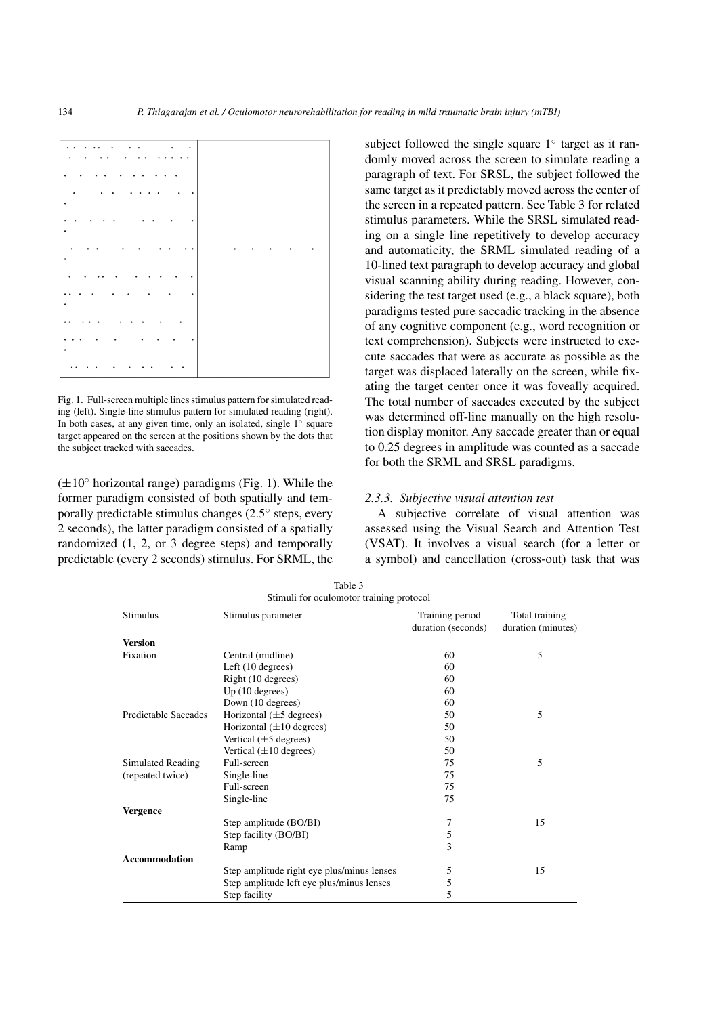

Fig. 1. Full-screen multiple lines stimulus pattern for simulated reading (left). Single-line stimulus pattern for simulated reading (right). In both cases, at any given time, only an isolated, single  $1°$  square target appeared on the screen at the positions shown by the dots that the subject tracked with saccades.

 $(\pm 10^\circ$  horizontal range) paradigms (Fig. 1). While the former paradigm consisted of both spatially and temporally predictable stimulus changes (2.5◦ steps, every 2 seconds), the latter paradigm consisted of a spatially randomized (1, 2, or 3 degree steps) and temporally predictable (every 2 seconds) stimulus. For SRML, the subject followed the single square 1◦ target as it randomly moved across the screen to simulate reading a paragraph of text. For SRSL, the subject followed the same target as it predictably moved across the center of the screen in a repeated pattern. See Table 3 for related stimulus parameters. While the SRSL simulated reading on a single line repetitively to develop accuracy and automaticity, the SRML simulated reading of a 10-lined text paragraph to develop accuracy and global visual scanning ability during reading. However, considering the test target used (e.g., a black square), both paradigms tested pure saccadic tracking in the absence of any cognitive component (e.g., word recognition or text comprehension). Subjects were instructed to execute saccades that were as accurate as possible as the target was displaced laterally on the screen, while fixating the target center once it was foveally acquired. The total number of saccades executed by the subject was determined off-line manually on the high resolution display monitor. Any saccade greater than or equal to 0.25 degrees in amplitude was counted as a saccade for both the SRML and SRSL paradigms.

## *2.3.3. Subjective visual attention test*

A subjective correlate of visual attention was assessed using the Visual Search and Attention Test (VSAT). It involves a visual search (for a letter or a symbol) and cancellation (cross-out) task that was

| Stimulus             | Stimulus parameter                         | Training period    | Total training<br>duration (minutes) |  |
|----------------------|--------------------------------------------|--------------------|--------------------------------------|--|
|                      |                                            | duration (seconds) |                                      |  |
| <b>Version</b>       |                                            |                    |                                      |  |
| Fixation             | Central (midline)                          | 60                 | 5                                    |  |
|                      | Left (10 degrees)                          | 60                 |                                      |  |
|                      | Right (10 degrees)                         | 60                 |                                      |  |
|                      | Up(10 degrees)                             | 60                 |                                      |  |
|                      | Down (10 degrees)                          | 60                 |                                      |  |
| Predictable Saccades | Horizontal $(\pm 5$ degrees)               | 50                 | 5                                    |  |
|                      | Horizontal $(\pm 10$ degrees)              | 50                 |                                      |  |
|                      | Vertical $(\pm 5$ degrees)                 | 50                 |                                      |  |
|                      | Vertical $(\pm 10$ degrees)                | 50                 |                                      |  |
| Simulated Reading    | Full-screen                                | 75                 | 5                                    |  |
| (repeated twice)     | Single-line                                | 75                 |                                      |  |
|                      | Full-screen                                | 75                 |                                      |  |
|                      | Single-line                                | 75                 |                                      |  |
| <b>Vergence</b>      |                                            |                    |                                      |  |
|                      | Step amplitude (BO/BI)                     | 7                  | 15                                   |  |
|                      | Step facility (BO/BI)                      | 5                  |                                      |  |
|                      | Ramp                                       | 3                  |                                      |  |
| <b>Accommodation</b> |                                            |                    |                                      |  |
|                      | Step amplitude right eye plus/minus lenses | 5                  | 15                                   |  |
|                      | Step amplitude left eye plus/minus lenses  | 5                  |                                      |  |
|                      | Step facility                              | 5                  |                                      |  |

Table 3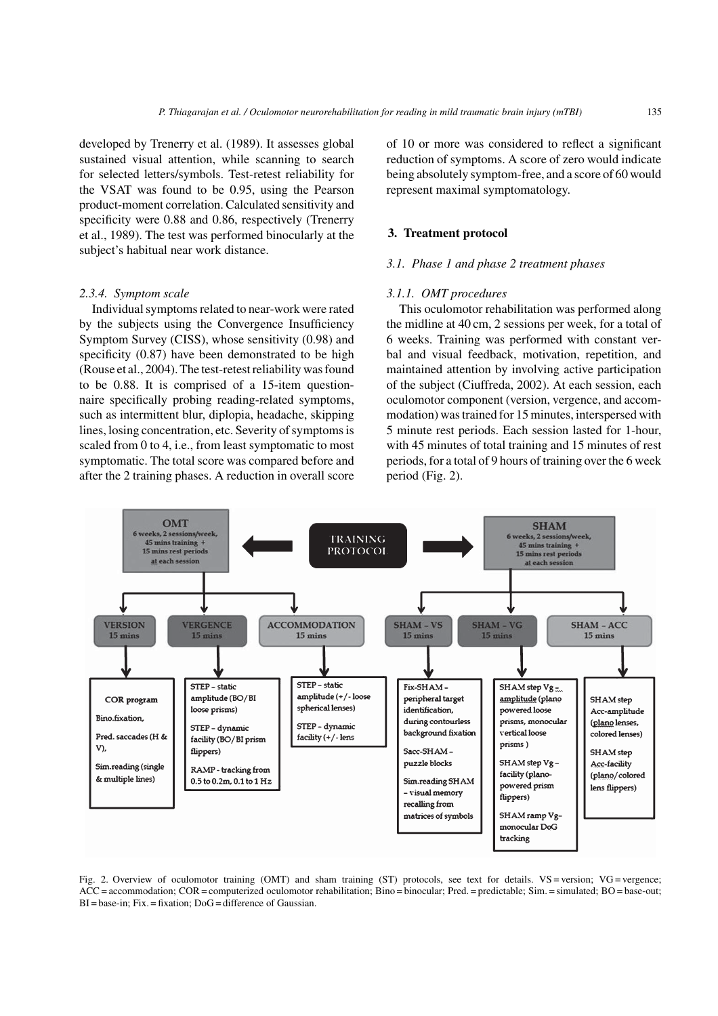developed by Trenerry et al. (1989). It assesses global sustained visual attention, while scanning to search for selected letters/symbols. Test-retest reliability for the VSAT was found to be 0.95, using the Pearson product-moment correlation. Calculated sensitivity and specificity were 0.88 and 0.86, respectively (Trenerry et al., 1989). The test was performed binocularly at the subject's habitual near work distance.

# *2.3.4. Symptom scale*

Individual symptoms related to near-work were rated by the subjects using the Convergence Insufficiency Symptom Survey (CISS), whose sensitivity (0.98) and specificity  $(0.87)$  have been demonstrated to be high (Rouse et al., 2004). The test-retest reliability was found to be 0.88. It is comprised of a 15-item questionnaire specifically probing reading-related symptoms, such as intermittent blur, diplopia, headache, skipping lines, losing concentration, etc. Severity of symptoms is scaled from 0 to 4, i.e., from least symptomatic to most symptomatic. The total score was compared before and after the 2 training phases. A reduction in overall score

of 10 or more was considered to reflect a significant reduction of symptoms. A score of zero would indicate being absolutely symptom-free, and a score of 60 would represent maximal symptomatology.

### **3. Treatment protocol**

### *3.1. Phase 1 and phase 2 treatment phases*

#### *3.1.1. OMT procedures*

This oculomotor rehabilitation was performed along the midline at 40 cm, 2 sessions per week, for a total of 6 weeks. Training was performed with constant verbal and visual feedback, motivation, repetition, and maintained attention by involving active participation of the subject (Ciuffreda, 2002). At each session, each oculomotor component (version, vergence, and accommodation) was trained for 15 minutes, interspersed with 5 minute rest periods. Each session lasted for 1-hour, with 45 minutes of total training and 15 minutes of rest periods, for a total of 9 hours of training over the 6 week period (Fig. 2).



Fig. 2. Overview of oculomotor training (OMT) and sham training (ST) protocols, see text for details. VS = version; VG = vergence; ACC = accommodation; COR = computerized oculomotor rehabilitation; Bino = binocular; Pred. = predictable; Sim. = simulated; BO = base-out; BI = base-in; Fix. = fixation; DoG = difference of Gaussian.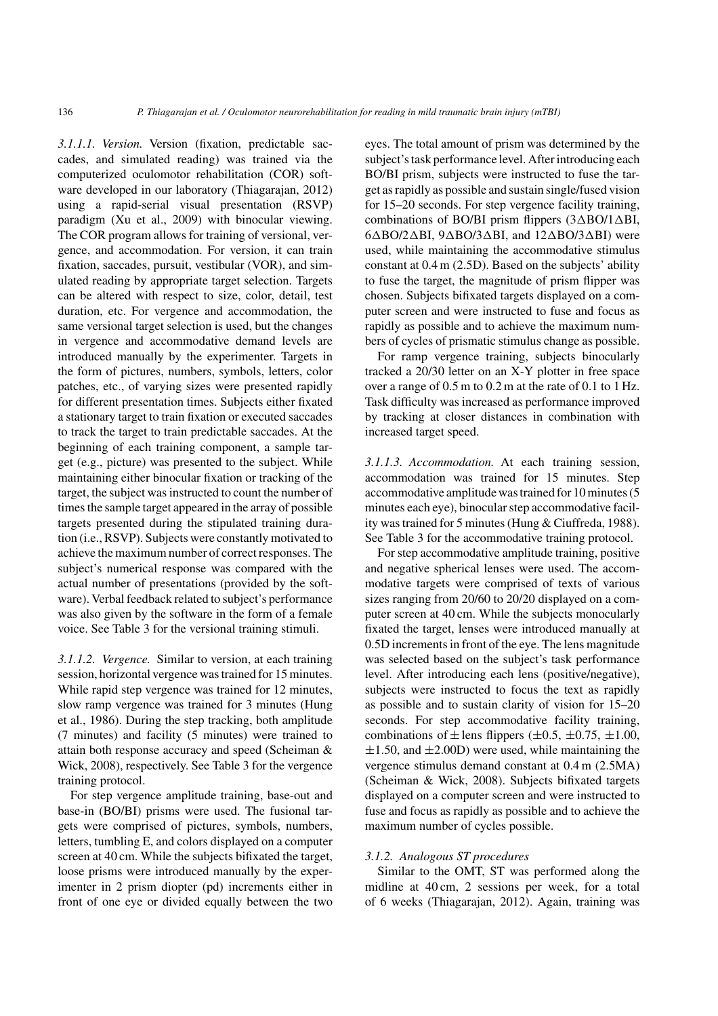*3.1.1.1. Version.* Version (fixation, predictable saccades, and simulated reading) was trained via the computerized oculomotor rehabilitation (COR) software developed in our laboratory (Thiagarajan, 2012) using a rapid-serial visual presentation (RSVP) paradigm (Xu et al., 2009) with binocular viewing. The COR program allows for training of versional, vergence, and accommodation. For version, it can train fixation, saccades, pursuit, vestibular (VOR), and simulated reading by appropriate target selection. Targets can be altered with respect to size, color, detail, test duration, etc. For vergence and accommodation, the same versional target selection is used, but the changes in vergence and accommodative demand levels are introduced manually by the experimenter. Targets in the form of pictures, numbers, symbols, letters, color patches, etc., of varying sizes were presented rapidly for different presentation times. Subjects either fixated a stationary target to train fixation or executed saccades to track the target to train predictable saccades. At the beginning of each training component, a sample target (e.g., picture) was presented to the subject. While maintaining either binocular fixation or tracking of the target, the subject was instructed to count the number of times the sample target appeared in the array of possible targets presented during the stipulated training duration (i.e., RSVP). Subjects were constantly motivated to achieve the maximum number of correct responses. The subject's numerical response was compared with the actual number of presentations (provided by the software). Verbal feedback related to subject's performance was also given by the software in the form of a female voice. See Table 3 for the versional training stimuli.

*3.1.1.2. Vergence.* Similar to version, at each training session, horizontal vergence was trained for 15 minutes. While rapid step vergence was trained for 12 minutes, slow ramp vergence was trained for 3 minutes (Hung et al., 1986). During the step tracking, both amplitude (7 minutes) and facility (5 minutes) were trained to attain both response accuracy and speed (Scheiman & Wick, 2008), respectively. See Table 3 for the vergence training protocol.

For step vergence amplitude training, base-out and base-in (BO/BI) prisms were used. The fusional targets were comprised of pictures, symbols, numbers, letters, tumbling E, and colors displayed on a computer screen at 40 cm. While the subjects bifixated the target, loose prisms were introduced manually by the experimenter in 2 prism diopter (pd) increments either in front of one eye or divided equally between the two

eyes. The total amount of prism was determined by the subject's task performance level. After introducing each BO/BI prism, subjects were instructed to fuse the target as rapidly as possible and sustain single/fused vision for 15–20 seconds. For step vergence facility training, combinations of BO/BI prism flippers  $(3\Delta$ BO/1 $\Delta$ BI,  $6\triangle BO/2\triangle BI$ ,  $9\triangle BO/3\triangle BI$ , and  $12\triangle BO/3\triangle BI$ ) were used, while maintaining the accommodative stimulus constant at 0.4 m (2.5D). Based on the subjects' ability to fuse the target, the magnitude of prism flipper was chosen. Subjects bifixated targets displayed on a computer screen and were instructed to fuse and focus as rapidly as possible and to achieve the maximum numbers of cycles of prismatic stimulus change as possible.

For ramp vergence training, subjects binocularly tracked a 20/30 letter on an X-Y plotter in free space over a range of 0.5 m to 0.2 m at the rate of 0.1 to 1 Hz. Task difficulty was increased as performance improved by tracking at closer distances in combination with increased target speed.

*3.1.1.3. Accommodation.* At each training session, accommodation was trained for 15 minutes. Step accommodative amplitude was trained for 10 minutes (5 minutes each eye), binocular step accommodative facility was trained for 5 minutes (Hung & Ciuffreda, 1988). See Table 3 for the accommodative training protocol.

For step accommodative amplitude training, positive and negative spherical lenses were used. The accommodative targets were comprised of texts of various sizes ranging from 20/60 to 20/20 displayed on a computer screen at 40 cm. While the subjects monocularly fixated the target, lenses were introduced manually at 0.5D increments in front of the eye. The lens magnitude was selected based on the subject's task performance level. After introducing each lens (positive/negative), subjects were instructed to focus the text as rapidly as possible and to sustain clarity of vision for 15–20 seconds. For step accommodative facility training, combinations of  $\pm$  lens flippers ( $\pm$ 0.5,  $\pm$ 0.75,  $\pm$ 1.00,  $\pm 1.50$ , and  $\pm 2.00$ D) were used, while maintaining the vergence stimulus demand constant at 0.4 m (2.5MA) (Scheiman & Wick, 2008). Subjects bifixated targets displayed on a computer screen and were instructed to fuse and focus as rapidly as possible and to achieve the maximum number of cycles possible.

#### *3.1.2. Analogous ST procedures*

Similar to the OMT, ST was performed along the midline at 40 cm, 2 sessions per week, for a total of 6 weeks (Thiagarajan, 2012). Again, training was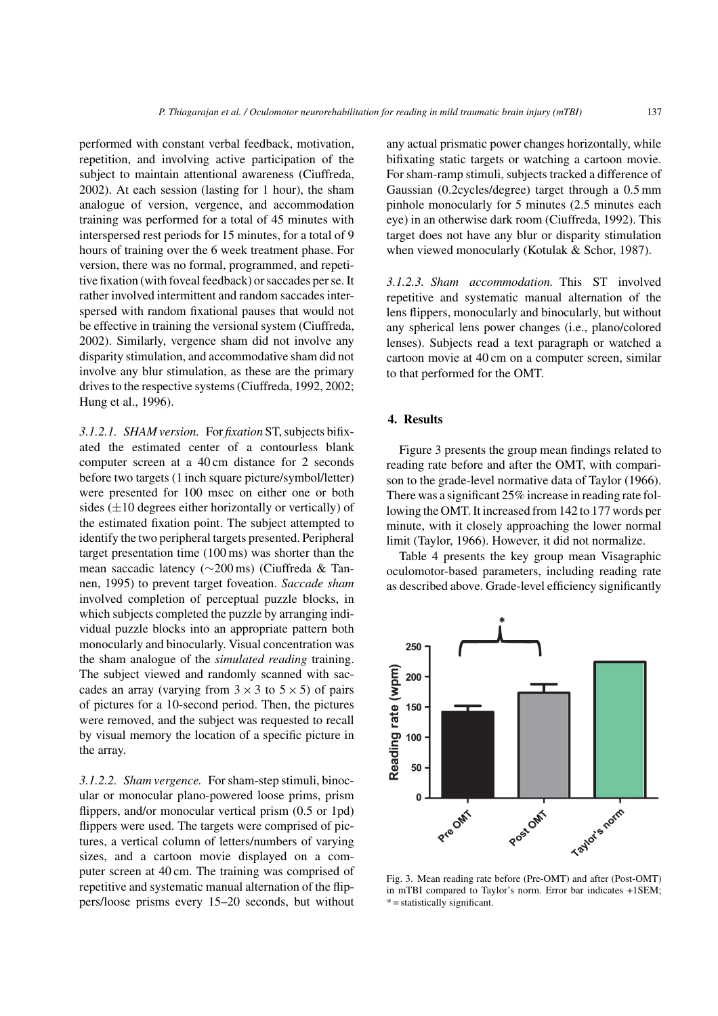performed with constant verbal feedback, motivation, repetition, and involving active participation of the subject to maintain attentional awareness (Ciuffreda, 2002). At each session (lasting for 1 hour), the sham analogue of version, vergence, and accommodation training was performed for a total of 45 minutes with interspersed rest periods for 15 minutes, for a total of 9 hours of training over the 6 week treatment phase. For version, there was no formal, programmed, and repetitive fixation (with foveal feedback) or saccades per se. It rather involved intermittent and random saccades interspersed with random fixational pauses that would not be effective in training the versional system (Ciuffreda, 2002). Similarly, vergence sham did not involve any disparity stimulation, and accommodative sham did not involve any blur stimulation, as these are the primary drives to the respective systems (Ciuffreda, 1992, 2002; Hung et al., 1996).

*3.1.2.1. SHAM version.* For *fixation* ST, subjects bifixated the estimated center of a contourless blank computer screen at a 40 cm distance for 2 seconds before two targets (1 inch square picture/symbol/letter) were presented for 100 msec on either one or both sides  $(\pm 10$  degrees either horizontally or vertically) of the estimated fixation point. The subject attempted to identify the two peripheral targets presented. Peripheral target presentation time (100 ms) was shorter than the mean saccadic latency (∼200 ms) (Ciuffreda & Tannen, 1995) to prevent target foveation. *Saccade sham* involved completion of perceptual puzzle blocks, in which subjects completed the puzzle by arranging individual puzzle blocks into an appropriate pattern both monocularly and binocularly. Visual concentration was the sham analogue of the *simulated reading* training. The subject viewed and randomly scanned with saccades an array (varying from  $3 \times 3$  to  $5 \times 5$ ) of pairs of pictures for a 10-second period. Then, the pictures were removed, and the subject was requested to recall by visual memory the location of a specific picture in the array.

*3.1.2.2. Sham vergence.* For sham-step stimuli, binocular or monocular plano-powered loose prims, prism flippers, and/or monocular vertical prism  $(0.5 \text{ or } 1 \text{pd})$ flippers were used. The targets were comprised of pictures, a vertical column of letters/numbers of varying sizes, and a cartoon movie displayed on a computer screen at 40 cm. The training was comprised of repetitive and systematic manual alternation of the flippers/loose prisms every 15–20 seconds, but without

any actual prismatic power changes horizontally, while bifixating static targets or watching a cartoon movie. For sham-ramp stimuli, subjects tracked a difference of Gaussian (0.2cycles/degree) target through a 0.5 mm pinhole monocularly for 5 minutes (2.5 minutes each eye) in an otherwise dark room (Ciuffreda, 1992). This target does not have any blur or disparity stimulation when viewed monocularly (Kotulak & Schor, 1987).

*3.1.2.3. Sham accommodation.* This ST involved repetitive and systematic manual alternation of the lens flippers, monocularly and binocularly, but without any spherical lens power changes (i.e., plano/colored lenses). Subjects read a text paragraph or watched a cartoon movie at 40 cm on a computer screen, similar to that performed for the OMT.

# **4. Results**

Figure 3 presents the group mean findings related to reading rate before and after the OMT, with comparison to the grade-level normative data of Taylor (1966). There was a significant 25% increase in reading rate following the OMT. It increased from 142 to 177 words per minute, with it closely approaching the lower normal limit (Taylor, 1966). However, it did not normalize.

Table 4 presents the key group mean Visagraphic oculomotor-based parameters, including reading rate as described above. Grade-level efficiency significantly



Fig. 3. Mean reading rate before (Pre-OMT) and after (Post-OMT) in mTBI compared to Taylor's norm. Error bar indicates +1SEM;  $*$  = statistically significant.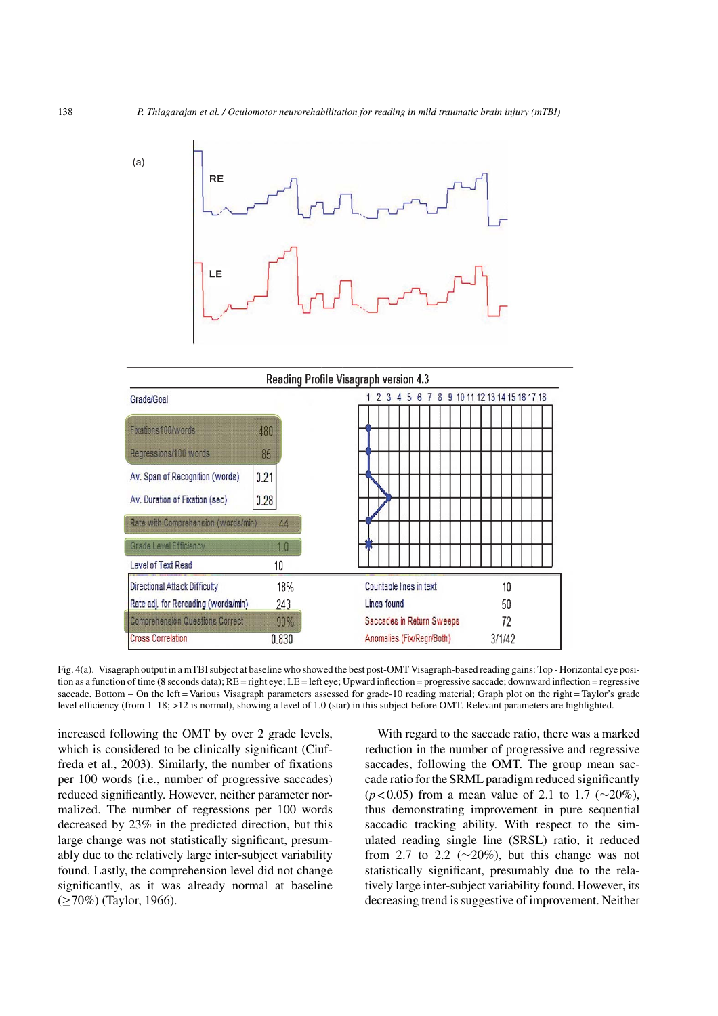

| Reading Profile Visagraph version 4.3  |       |                                                 |  |  |
|----------------------------------------|-------|-------------------------------------------------|--|--|
| Grade/Goal                             |       | 7 8 9 10 11 12 13 14 15 16 17 18<br>6<br>з<br>5 |  |  |
| Fixations 100/words                    | 480   |                                                 |  |  |
| Regressions/100 words                  | 85    |                                                 |  |  |
| Av. Span of Recognition (words)        | 0.21  |                                                 |  |  |
| Av. Duration of Fixation (sec)         | 0.28  |                                                 |  |  |
| Rate with Comprehension (words/min).   | 44    |                                                 |  |  |
| Grade Level Efficiency                 | 1.0   |                                                 |  |  |
| Level of Text Read                     | 10    |                                                 |  |  |
| Directional Attack Difficulty          | 18%   | Countable lines in text<br>10                   |  |  |
| Rate adj. for Rereading (words/min)    | 243   | Lines found<br>50                               |  |  |
| <b>Comprehension Questions Correct</b> | 90%   | Saccades in Return Sweeps<br>72                 |  |  |
| <b>Cross Correlation</b>               | 0.830 | Anomalies (Fix/Regr/Both)<br>3/1/42             |  |  |

Fig. 4(a). Visagraph output in a mTBI subject at baseline who showed the best post-OMT Visagraph-based reading gains: Top - Horizontal eye position as a function of time (8 seconds data); RE = right eye; LE = left eye; Upward inflection = progressive saccade; downward inflection = regressive saccade. Bottom – On the left = Various Visagraph parameters assessed for grade-10 reading material; Graph plot on the right = Taylor's grade level efficiency (from 1–18; >12 is normal), showing a level of 1.0 (star) in this subject before OMT. Relevant parameters are highlighted.

increased following the OMT by over 2 grade levels, which is considered to be clinically significant (Ciuffreda et al., 2003). Similarly, the number of fixations per 100 words (i.e., number of progressive saccades) reduced significantly. However, neither parameter normalized. The number of regressions per 100 words decreased by 23% in the predicted direction, but this large change was not statistically significant, presumably due to the relatively large inter-subject variability found. Lastly, the comprehension level did not change significantly, as it was already normal at baseline (≥70%) (Taylor, 1966).

With regard to the saccade ratio, there was a marked reduction in the number of progressive and regressive saccades, following the OMT. The group mean saccade ratio for the SRML paradigm reduced significantly (*p* < 0.05) from a mean value of 2.1 to 1.7 (∼20%), thus demonstrating improvement in pure sequential saccadic tracking ability. With respect to the simulated reading single line (SRSL) ratio, it reduced from 2.7 to 2.2 ( $\sim$ 20%), but this change was not statistically significant, presumably due to the relatively large inter-subject variability found. However, its decreasing trend is suggestive of improvement. Neither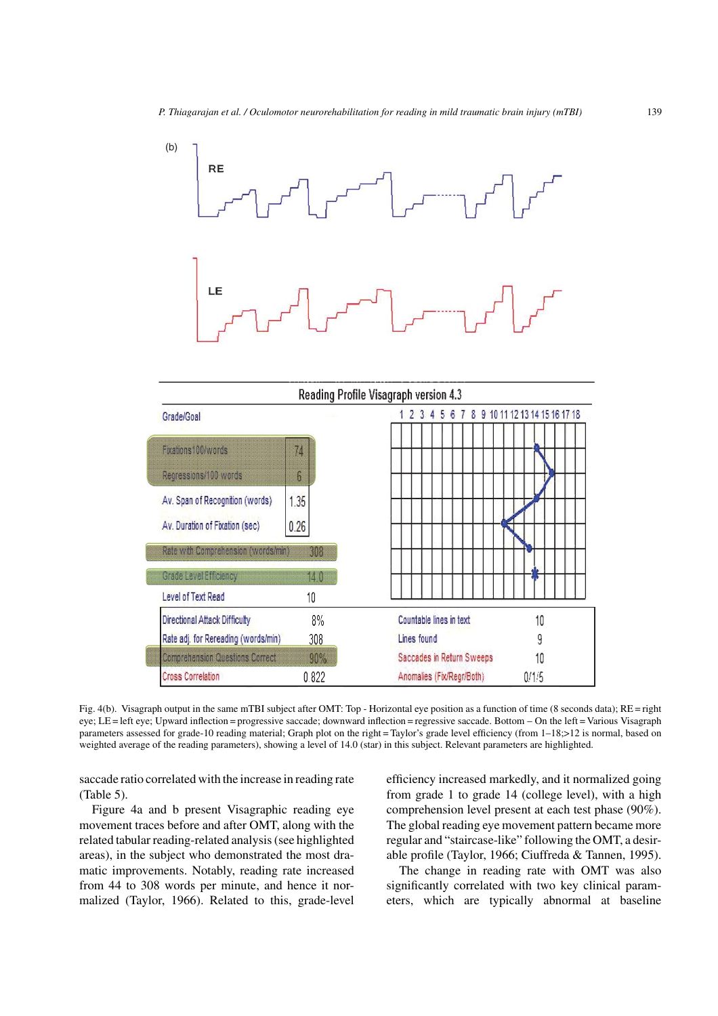

Fig. 4(b). Visagraph output in the same mTBI subject after OMT: Top - Horizontal eye position as a function of time (8 seconds data); RE = right eye; LE = left eye; Upward inflection = progressive saccade; downward inflection = regressive saccade. Bottom – On the left = Various Visagraph parameters assessed for grade-10 reading material; Graph plot on the right = Taylor's grade level efficiency (from 1–18;>12 is normal, based on weighted average of the reading parameters), showing a level of 14.0 (star) in this subject. Relevant parameters are highlighted.

saccade ratio correlated with the increase in reading rate (Table 5).

Figure 4a and b present Visagraphic reading eye movement traces before and after OMT, along with the related tabular reading-related analysis (see highlighted areas), in the subject who demonstrated the most dramatic improvements. Notably, reading rate increased from 44 to 308 words per minute, and hence it normalized (Taylor, 1966). Related to this, grade-level efficiency increased markedly, and it normalized going from grade 1 to grade 14 (college level), with a high comprehension level present at each test phase (90%). The global reading eye movement pattern became more regular and "staircase-like" following the OMT, a desirable profile (Taylor, 1966; Ciuffreda & Tannen, 1995).

The change in reading rate with OMT was also significantly correlated with two key clinical parameters, which are typically abnormal at baseline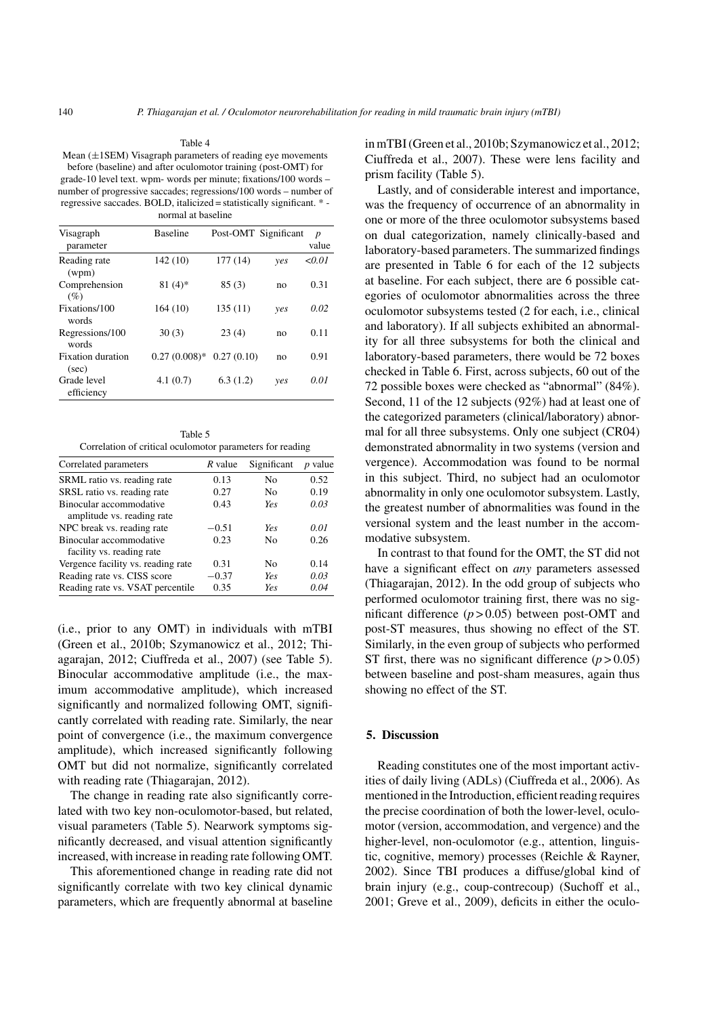Mean (±1SEM) Visagraph parameters of reading eye movements before (baseline) and after oculomotor training (post-OMT) for grade-10 level text. wpm- words per minute; fixations/100 words – number of progressive saccades; regressions/100 words – number of regressive saccades. BOLD, italicized = statistically significant. \* normal at baseline

Table 4

| Visagraph                         | <b>Baseline</b> | Post-OMT Significant |     | $\boldsymbol{p}$ |
|-----------------------------------|-----------------|----------------------|-----|------------------|
| parameter                         |                 |                      |     | value            |
| Reading rate<br>(wpm)             | 142 (10)        | 177 (14)             | yes | < 0.01           |
| Comprehension<br>$(\%)$           | $81(4)*$        | 85(3)                | no  | 0.31             |
| Fixations/100<br>words            | 164(10)         | 135(11)              | yes | 0.02             |
| Regressions/100<br>words          | 30(3)           | 23(4)                | no  | 0.11             |
| <b>Fixation</b> duration<br>(sec) | $0.27(0.008)*$  | 0.27(0.10)           | no  | 0.91             |
| Grade level<br>efficiency         | 4.1(0.7)        | 6.3(1.2)             | yes | 0.01             |

Table 5 Correlation of critical oculomotor parameters for reading

| Correlated parameters              | R value | Significant | <i>p</i> value |
|------------------------------------|---------|-------------|----------------|
| SRML ratio vs. reading rate        | 0.13    | Nο          | 0.52           |
| SRSL ratio vs. reading rate        | 0.27    | Nο          | 0.19           |
| Binocular accommodative            | 0.43    | Yes         | 0.03           |
| amplitude vs. reading rate         |         |             |                |
| NPC break vs. reading rate         | $-0.51$ | Yes         | 0.01           |
| Binocular accommodative            | 0.23    | Nο          | 0.26           |
| facility vs. reading rate          |         |             |                |
| Vergence facility vs. reading rate | 0.31    | No          | 0.14           |
| Reading rate vs. CISS score        | $-0.37$ | Yes         | 0.03           |
| Reading rate vs. VSAT percentile   | 0.35    | Ye.s        | 0.04           |

(i.e., prior to any OMT) in individuals with mTBI (Green et al., 2010b; Szymanowicz et al., 2012; Thiagarajan, 2012; Ciuffreda et al., 2007) (see Table 5). Binocular accommodative amplitude (i.e., the maximum accommodative amplitude), which increased significantly and normalized following OMT, significantly correlated with reading rate. Similarly, the near point of convergence (i.e., the maximum convergence amplitude), which increased significantly following OMT but did not normalize, significantly correlated with reading rate (Thiagarajan, 2012).

The change in reading rate also significantly correlated with two key non-oculomotor-based, but related, visual parameters (Table 5). Nearwork symptoms significantly decreased, and visual attention significantly increased, with increase in reading rate following OMT.

This aforementioned change in reading rate did not significantly correlate with two key clinical dynamic parameters, which are frequently abnormal at baseline

in mTBI (Green et al., 2010b; Szymanowicz et al., 2012; Ciuffreda et al., 2007). These were lens facility and prism facility (Table 5).

Lastly, and of considerable interest and importance, was the frequency of occurrence of an abnormality in one or more of the three oculomotor subsystems based on dual categorization, namely clinically-based and laboratory-based parameters. The summarized findings are presented in Table 6 for each of the 12 subjects at baseline. For each subject, there are 6 possible categories of oculomotor abnormalities across the three oculomotor subsystems tested (2 for each, i.e., clinical and laboratory). If all subjects exhibited an abnormality for all three subsystems for both the clinical and laboratory-based parameters, there would be 72 boxes checked in Table 6. First, across subjects, 60 out of the 72 possible boxes were checked as "abnormal" (84%). Second, 11 of the 12 subjects (92%) had at least one of the categorized parameters (clinical/laboratory) abnormal for all three subsystems. Only one subject (CR04) demonstrated abnormality in two systems (version and vergence). Accommodation was found to be normal in this subject. Third, no subject had an oculomotor abnormality in only one oculomotor subsystem. Lastly, the greatest number of abnormalities was found in the versional system and the least number in the accommodative subsystem.

In contrast to that found for the OMT, the ST did not have a significant effect on *any* parameters assessed (Thiagarajan, 2012). In the odd group of subjects who performed oculomotor training first, there was no significant difference  $(p > 0.05)$  between post-OMT and post-ST measures, thus showing no effect of the ST. Similarly, in the even group of subjects who performed ST first, there was no significant difference  $(p > 0.05)$ between baseline and post-sham measures, again thus showing no effect of the ST.

# **5. Discussion**

Reading constitutes one of the most important activities of daily living (ADLs) (Ciuffreda et al., 2006). As mentioned in the Introduction, efficient reading requires the precise coordination of both the lower-level, oculomotor (version, accommodation, and vergence) and the higher-level, non-oculomotor (e.g., attention, linguistic, cognitive, memory) processes (Reichle & Rayner, 2002). Since TBI produces a diffuse/global kind of brain injury (e.g., coup-contrecoup) (Suchoff et al., 2001; Greve et al., 2009), deficits in either the oculo-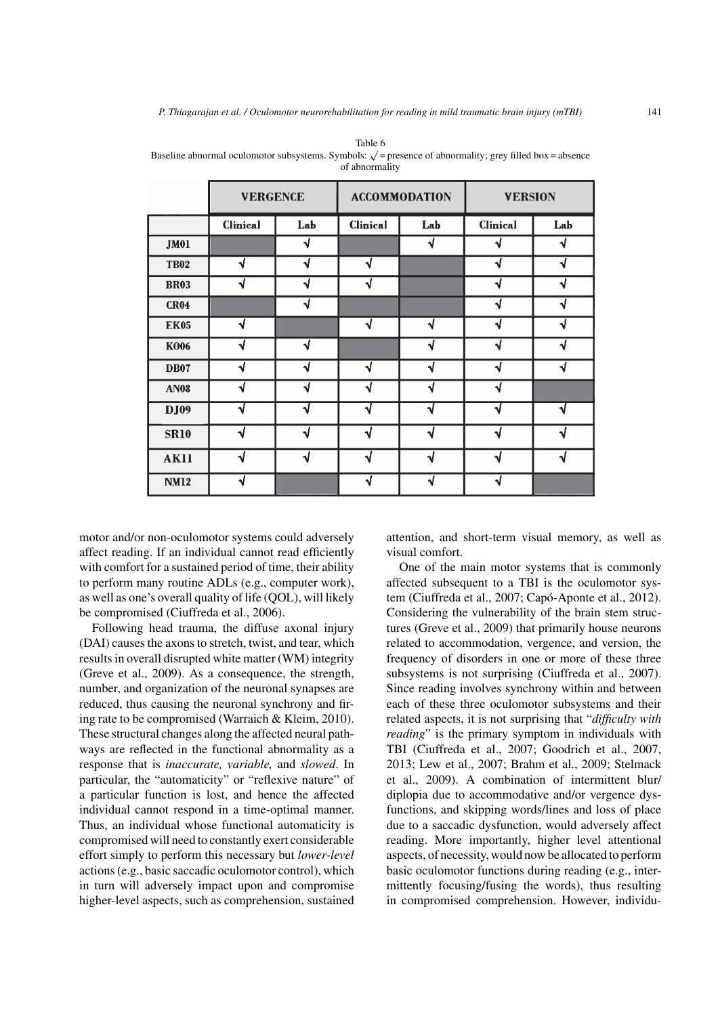| ıce |  |  |
|-----|--|--|

|             | <b>VERGENCE</b> |     |                 | <b>ACCOMMODATION</b> | <b>VERSION</b>  |     |
|-------------|-----------------|-----|-----------------|----------------------|-----------------|-----|
|             | <b>Clinical</b> | Lab | <b>Clinical</b> | Lab                  | <b>Clinical</b> | Lab |
| <b>JM01</b> |                 | √   |                 | ۹l                   | N               |     |
| <b>TB02</b> | √               | √   | √               |                      | √               | J   |
| <b>BR03</b> | √               | √   | √               |                      | √               | √   |
| <b>CR04</b> |                 | √   |                 |                      | N               | J   |
| <b>EK05</b> | √               |     | √               | √                    | √               |     |
| <b>K006</b> | √               | √   |                 | √                    | √               |     |
| <b>DB07</b> | ٦J              | √   | √               |                      | √               |     |
| <b>AN08</b> | √               | √   | √               | √                    | √               |     |
| <b>DJ09</b> |                 | ٦l  | ٩ί              |                      |                 |     |
| <b>SR10</b> | ٦ł              | ٦J  | ٦J              | ٦J                   | ای              |     |
| <b>AK11</b> | √               | ٦ł  | ٦J              | ٦J                   | ٩J              |     |
| <b>NM12</b> | √               |     | J               | √                    | √               |     |

Table 6 Baseline abnormal oculomotor subsystems. Symbols:  $\sqrt{ }$  = presence of abnormality; grey filled box = absence of abnormality

motor and/or non-oculomotor systems could adversely affect reading. If an individual cannot read efficiently with comfort for a sustained period of time, their ability to perform many routine ADLs (e.g., computer work), as well as one's overall quality of life (QOL), will likely be compromised (Ciuffreda et al., 2006).

Following head trauma, the diffuse axonal injury (DAI) causes the axons to stretch, twist, and tear, which results in overall disrupted white matter (WM) integrity (Greve et al., 2009). As a consequence, the strength, number, and organization of the neuronal synapses are reduced, thus causing the neuronal synchrony and firing rate to be compromised (Warraich & Kleim, 2010). These structural changes along the affected neural pathways are reflected in the functional abnormality as a response that is *inaccurate, variable,* and *slowed*. In particular, the "automaticity" or "reflexive nature" of a particular function is lost, and hence the affected individual cannot respond in a time-optimal manner. Thus, an individual whose functional automaticity is compromised will need to constantly exert considerable effort simply to perform this necessary but *lower-level* actions (e.g., basic saccadic oculomotor control), which in turn will adversely impact upon and compromise higher-level aspects, such as comprehension, sustained

attention, and short-term visual memory, as well as visual comfort.

One of the main motor systems that is commonly affected subsequent to a TBI is the oculomotor system (Ciuffreda et al., 2007; Capó-Aponte et al., 2012). Considering the vulnerability of the brain stem structures (Greve et al., 2009) that primarily house neurons related to accommodation, vergence, and version, the frequency of disorders in one or more of these three subsystems is not surprising (Ciuffreda et al., 2007). Since reading involves synchrony within and between each of these three oculomotor subsystems and their related aspects, it is not surprising that "*difficulty with reading*" is the primary symptom in individuals with TBI (Ciuffreda et al., 2007; Goodrich et al., 2007, 2013; Lew et al., 2007; Brahm et al., 2009; Stelmack et al., 2009). A combination of intermittent blur/ diplopia due to accommodative and/or vergence dysfunctions, and skipping words/lines and loss of place due to a saccadic dysfunction, would adversely affect reading. More importantly, higher level attentional aspects, of necessity, would now be allocated to perform basic oculomotor functions during reading (e.g., intermittently focusing/fusing the words), thus resulting in compromised comprehension. However, individu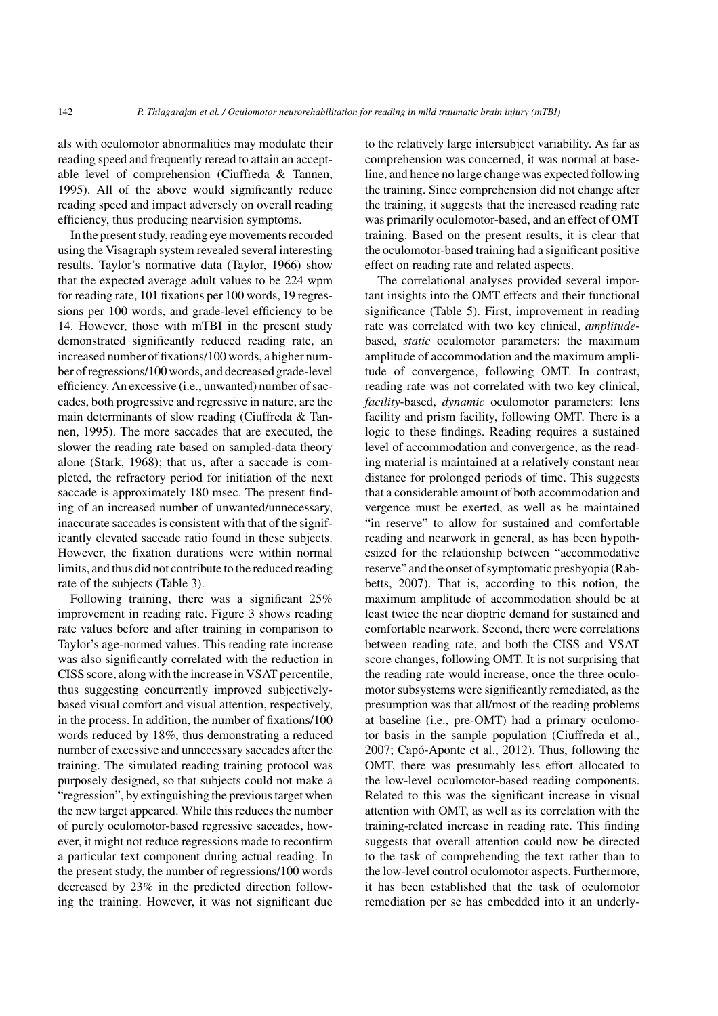als with oculomotor abnormalities may modulate their reading speed and frequently reread to attain an acceptable level of comprehension (Ciuffreda & Tannen, 1995). All of the above would significantly reduce reading speed and impact adversely on overall reading efficiency, thus producing nearvision symptoms.

In the present study, reading eye movements recorded using the Visagraph system revealed several interesting results. Taylor's normative data (Taylor, 1966) show that the expected average adult values to be 224 wpm for reading rate, 101 fixations per 100 words, 19 regressions per 100 words, and grade-level efficiency to be 14. However, those with mTBI in the present study demonstrated significantly reduced reading rate, an increased number of fixations/100 words, a higher number of regressions/100 words, and decreased grade-level efficiency. An excessive (i.e., unwanted) number of saccades, both progressive and regressive in nature, are the main determinants of slow reading (Ciuffreda & Tannen, 1995). The more saccades that are executed, the slower the reading rate based on sampled-data theory alone (Stark, 1968); that us, after a saccade is completed, the refractory period for initiation of the next saccade is approximately 180 msec. The present finding of an increased number of unwanted/unnecessary, inaccurate saccades is consistent with that of the significantly elevated saccade ratio found in these subjects. However, the fixation durations were within normal limits, and thus did not contribute to the reduced reading rate of the subjects (Table 3).

Following training, there was a significant 25% improvement in reading rate. Figure 3 shows reading rate values before and after training in comparison to Taylor's age-normed values. This reading rate increase was also significantly correlated with the reduction in CISS score, along with the increase in VSAT percentile, thus suggesting concurrently improved subjectivelybased visual comfort and visual attention, respectively, in the process. In addition, the number of fixations/100 words reduced by 18%, thus demonstrating a reduced number of excessive and unnecessary saccades after the training. The simulated reading training protocol was purposely designed, so that subjects could not make a "regression", by extinguishing the previous target when the new target appeared. While this reduces the number of purely oculomotor-based regressive saccades, however, it might not reduce regressions made to reconfirm a particular text component during actual reading. In the present study, the number of regressions/100 words decreased by 23% in the predicted direction following the training. However, it was not significant due

to the relatively large intersubject variability. As far as comprehension was concerned, it was normal at baseline, and hence no large change was expected following the training. Since comprehension did not change after the training, it suggests that the increased reading rate was primarily oculomotor-based, and an effect of OMT training. Based on the present results, it is clear that the oculomotor-based training had a significant positive effect on reading rate and related aspects.

The correlational analyses provided several important insights into the OMT effects and their functional significance (Table 5). First, improvement in reading rate was correlated with two key clinical, *amplitude*based, *static* oculomotor parameters: the maximum amplitude of accommodation and the maximum amplitude of convergence, following OMT. In contrast, reading rate was not correlated with two key clinical, *facility*-based, *dynamic* oculomotor parameters: lens facility and prism facility, following OMT. There is a logic to these findings. Reading requires a sustained level of accommodation and convergence, as the reading material is maintained at a relatively constant near distance for prolonged periods of time. This suggests that a considerable amount of both accommodation and vergence must be exerted, as well as be maintained "in reserve" to allow for sustained and comfortable reading and nearwork in general, as has been hypothesized for the relationship between "accommodative reserve" and the onset of symptomatic presbyopia (Rabbetts, 2007). That is, according to this notion, the maximum amplitude of accommodation should be at least twice the near dioptric demand for sustained and comfortable nearwork. Second, there were correlations between reading rate, and both the CISS and VSAT score changes, following OMT. It is not surprising that the reading rate would increase, once the three oculomotor subsystems were significantly remediated, as the presumption was that all/most of the reading problems at baseline (i.e., pre-OMT) had a primary oculomotor basis in the sample population (Ciuffreda et al., 2007; Capó-Aponte et al., 2012). Thus, following the OMT, there was presumably less effort allocated to the low-level oculomotor-based reading components. Related to this was the significant increase in visual attention with OMT, as well as its correlation with the training-related increase in reading rate. This finding suggests that overall attention could now be directed to the task of comprehending the text rather than to the low-level control oculomotor aspects. Furthermore, it has been established that the task of oculomotor remediation per se has embedded into it an underly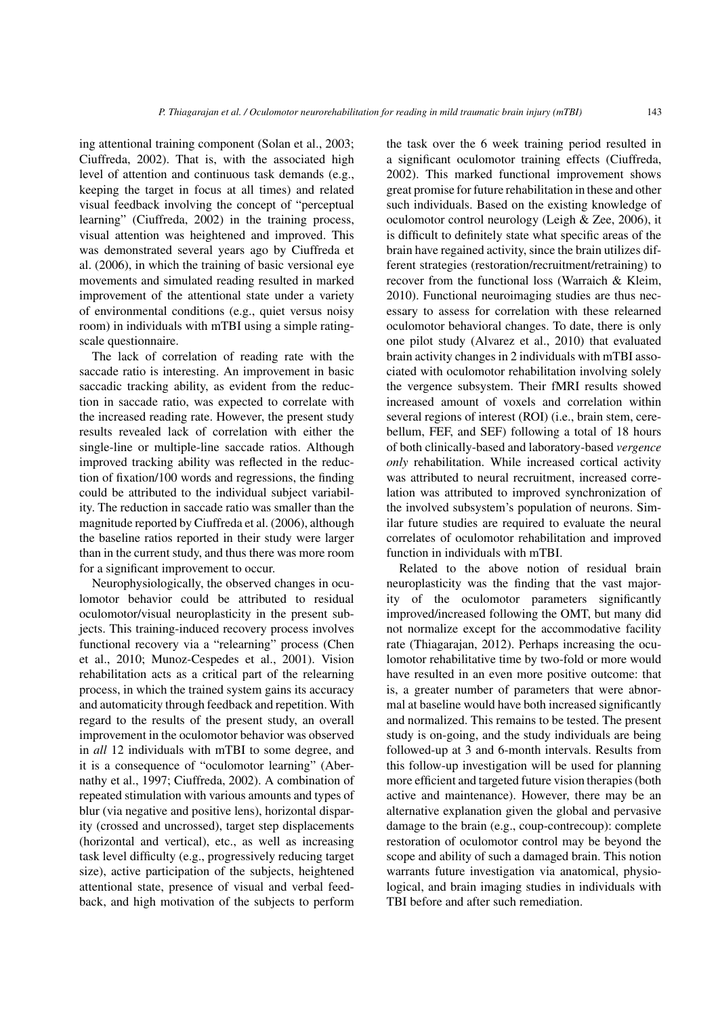ing attentional training component (Solan et al., 2003; Ciuffreda, 2002). That is, with the associated high level of attention and continuous task demands (e.g., keeping the target in focus at all times) and related visual feedback involving the concept of "perceptual learning" (Ciuffreda, 2002) in the training process, visual attention was heightened and improved. This was demonstrated several years ago by Ciuffreda et al. (2006), in which the training of basic versional eye movements and simulated reading resulted in marked improvement of the attentional state under a variety of environmental conditions (e.g., quiet versus noisy room) in individuals with mTBI using a simple ratingscale questionnaire.

The lack of correlation of reading rate with the saccade ratio is interesting. An improvement in basic saccadic tracking ability, as evident from the reduction in saccade ratio, was expected to correlate with the increased reading rate. However, the present study results revealed lack of correlation with either the single-line or multiple-line saccade ratios. Although improved tracking ability was reflected in the reduction of fixation/100 words and regressions, the finding could be attributed to the individual subject variability. The reduction in saccade ratio was smaller than the magnitude reported by Ciuffreda et al. (2006), although the baseline ratios reported in their study were larger than in the current study, and thus there was more room for a significant improvement to occur.

Neurophysiologically, the observed changes in oculomotor behavior could be attributed to residual oculomotor/visual neuroplasticity in the present subjects. This training-induced recovery process involves functional recovery via a "relearning" process (Chen et al., 2010; Munoz-Cespedes et al., 2001). Vision rehabilitation acts as a critical part of the relearning process, in which the trained system gains its accuracy and automaticity through feedback and repetition. With regard to the results of the present study, an overall improvement in the oculomotor behavior was observed in *all* 12 individuals with mTBI to some degree, and it is a consequence of "oculomotor learning" (Abernathy et al., 1997; Ciuffreda, 2002). A combination of repeated stimulation with various amounts and types of blur (via negative and positive lens), horizontal disparity (crossed and uncrossed), target step displacements (horizontal and vertical), etc., as well as increasing task level difficulty (e.g., progressively reducing target size), active participation of the subjects, heightened attentional state, presence of visual and verbal feedback, and high motivation of the subjects to perform

the task over the 6 week training period resulted in a significant oculomotor training effects (Ciuffreda, 2002). This marked functional improvement shows great promise for future rehabilitation in these and other such individuals. Based on the existing knowledge of oculomotor control neurology (Leigh & Zee, 2006), it is difficult to definitely state what specific areas of the brain have regained activity, since the brain utilizes different strategies (restoration/recruitment/retraining) to recover from the functional loss (Warraich & Kleim, 2010). Functional neuroimaging studies are thus necessary to assess for correlation with these relearned oculomotor behavioral changes. To date, there is only one pilot study (Alvarez et al., 2010) that evaluated brain activity changes in 2 individuals with mTBI associated with oculomotor rehabilitation involving solely the vergence subsystem. Their fMRI results showed increased amount of voxels and correlation within several regions of interest (ROI) (i.e., brain stem, cerebellum, FEF, and SEF) following a total of 18 hours of both clinically-based and laboratory-based *vergence only* rehabilitation. While increased cortical activity was attributed to neural recruitment, increased correlation was attributed to improved synchronization of the involved subsystem's population of neurons. Similar future studies are required to evaluate the neural correlates of oculomotor rehabilitation and improved function in individuals with mTBI.

Related to the above notion of residual brain neuroplasticity was the finding that the vast majority of the oculomotor parameters significantly improved/increased following the OMT, but many did not normalize except for the accommodative facility rate (Thiagarajan, 2012). Perhaps increasing the oculomotor rehabilitative time by two-fold or more would have resulted in an even more positive outcome: that is, a greater number of parameters that were abnormal at baseline would have both increased significantly and normalized. This remains to be tested. The present study is on-going, and the study individuals are being followed-up at 3 and 6-month intervals. Results from this follow-up investigation will be used for planning more efficient and targeted future vision therapies (both active and maintenance). However, there may be an alternative explanation given the global and pervasive damage to the brain (e.g., coup-contrecoup): complete restoration of oculomotor control may be beyond the scope and ability of such a damaged brain. This notion warrants future investigation via anatomical, physiological, and brain imaging studies in individuals with TBI before and after such remediation.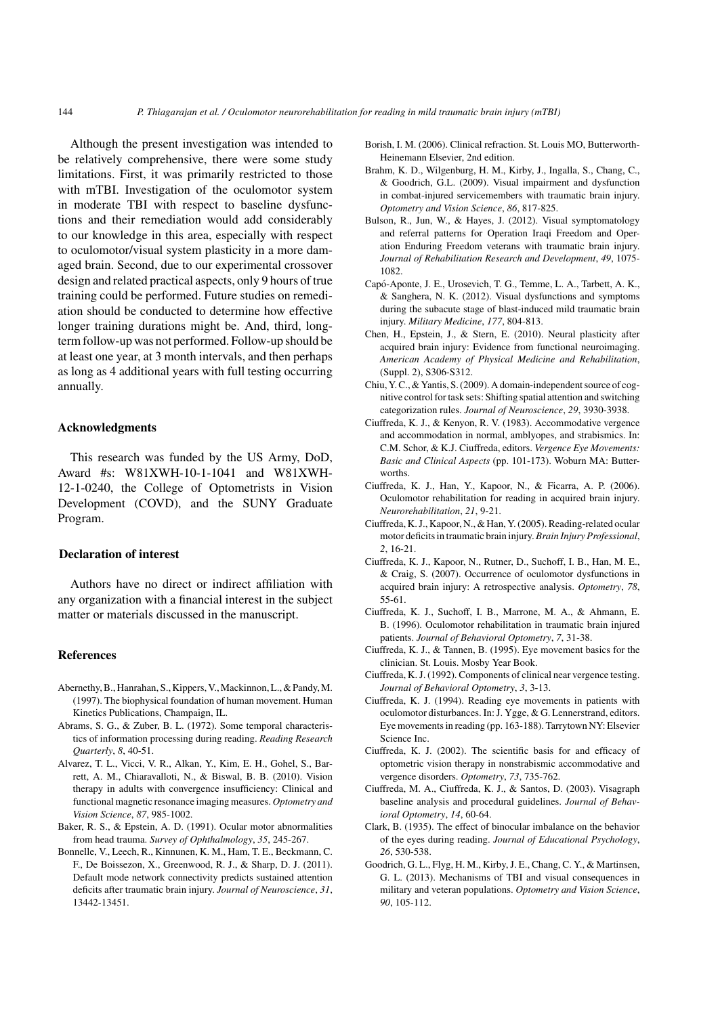Although the present investigation was intended to be relatively comprehensive, there were some study limitations. First, it was primarily restricted to those with mTBI. Investigation of the oculomotor system in moderate TBI with respect to baseline dysfunctions and their remediation would add considerably to our knowledge in this area, especially with respect to oculomotor/visual system plasticity in a more damaged brain. Second, due to our experimental crossover design and related practical aspects, only 9 hours of true training could be performed. Future studies on remediation should be conducted to determine how effective longer training durations might be. And, third, longterm follow-up was not performed. Follow-up should be at least one year, at 3 month intervals, and then perhaps as long as 4 additional years with full testing occurring annually.

## **Acknowledgments**

This research was funded by the US Army, DoD, Award #s: W81XWH-10-1-1041 and W81XWH-12-1-0240, the College of Optometrists in Vision Development (COVD), and the SUNY Graduate Program.

## **Declaration of interest**

Authors have no direct or indirect affiliation with any organization with a financial interest in the subject matter or materials discussed in the manuscript.

# **References**

- Abernethy, B., Hanrahan, S., Kippers, V., Mackinnon, L., & Pandy, M. (1997). The biophysical foundation of human movement. Human Kinetics Publications, Champaign, IL.
- Abrams, S. G., & Zuber, B. L. (1972). Some temporal characteristics of information processing during reading. *Reading Research Quarterly*, *8*, 40-51.
- Alvarez, T. L., Vicci, V. R., Alkan, Y., Kim, E. H., Gohel, S., Barrett, A. M., Chiaravalloti, N., & Biswal, B. B. (2010). Vision therapy in adults with convergence insufficiency: Clinical and functional magnetic resonance imaging measures. *Optometry and Vision Science*, *87*, 985-1002.
- Baker, R. S., & Epstein, A. D. (1991). Ocular motor abnormalities from head trauma. *Survey of Ophthalmology*, *35*, 245-267.
- Bonnelle, V., Leech, R., Kinnunen, K. M., Ham, T. E., Beckmann, C. F., De Boissezon, X., Greenwood, R. J., & Sharp, D. J. (2011). Default mode network connectivity predicts sustained attention deficits after traumatic brain injury. *Journal of Neuroscience*, *31*, 13442-13451.
- Borish, I. M. (2006). Clinical refraction. St. Louis MO, Butterworth-Heinemann Elsevier, 2nd edition.
- Brahm, K. D., Wilgenburg, H. M., Kirby, J., Ingalla, S., Chang, C., & Goodrich, G.L. (2009). Visual impairment and dysfunction in combat-injured servicemembers with traumatic brain injury. *Optometry and Vision Science*, *86*, 817-825.
- Bulson, R., Jun, W., & Hayes, J. (2012). Visual symptomatology and referral patterns for Operation Iraqi Freedom and Operation Enduring Freedom veterans with traumatic brain injury. *Journal of Rehabilitation Research and Development*, *49*, 1075- 1082.
- Capo-Aponte, J. E., Urosevich, T. G., Temme, L. A., Tarbett, A. K., ´ & Sanghera, N. K. (2012). Visual dysfunctions and symptoms during the subacute stage of blast-induced mild traumatic brain injury. *Military Medicine*, *177*, 804-813.
- Chen, H., Epstein, J., & Stern, E. (2010). Neural plasticity after acquired brain injury: Evidence from functional neuroimaging. *American Academy of Physical Medicine and Rehabilitation*, (Suppl. 2), S306-S312.
- Chiu, Y. C., & Yantis, S. (2009). A domain-independent source of cognitive control for task sets: Shifting spatial attention and switching categorization rules. *Journal of Neuroscience*, *29*, 3930-3938.
- Ciuffreda, K. J., & Kenyon, R. V. (1983). Accommodative vergence and accommodation in normal, amblyopes, and strabismics. In: C.M. Schor, & K.J. Ciuffreda, editors. *Vergence Eye Movements: Basic and Clinical Aspects* (pp. 101-173). Woburn MA: Butterworths.
- Ciuffreda, K. J., Han, Y., Kapoor, N., & Ficarra, A. P. (2006). Oculomotor rehabilitation for reading in acquired brain injury. *Neurorehabilitation*, *21*, 9-21.
- Ciuffreda, K. J., Kapoor, N., & Han, Y. (2005). Reading-related ocular motor deficits in traumatic brain injury. *Brain Injury Professional*, *2*, 16-21.
- Ciuffreda, K. J., Kapoor, N., Rutner, D., Suchoff, I. B., Han, M. E., & Craig, S. (2007). Occurrence of oculomotor dysfunctions in acquired brain injury: A retrospective analysis. *Optometry*, *78*, 55-61.
- Ciuffreda, K. J., Suchoff, I. B., Marrone, M. A., & Ahmann, E. B. (1996). Oculomotor rehabilitation in traumatic brain injured patients. *Journal of Behavioral Optometry*, *7*, 31-38.
- Ciuffreda, K. J., & Tannen, B. (1995). Eye movement basics for the clinician. St. Louis. Mosby Year Book.
- Ciuffreda, K. J. (1992). Components of clinical near vergence testing. *Journal of Behavioral Optometry*, *3*, 3-13.
- Ciuffreda, K. J. (1994). Reading eye movements in patients with oculomotor disturbances. In: J. Ygge, & G. Lennerstrand, editors. Eye movements in reading (pp. 163-188). Tarrytown NY: Elsevier Science Inc.
- Ciuffreda, K. J. (2002). The scientific basis for and efficacy of optometric vision therapy in nonstrabismic accommodative and vergence disorders. *Optometry*, *73*, 735-762.
- Ciuffreda, M. A., Ciuffreda, K. J., & Santos, D. (2003). Visagraph baseline analysis and procedural guidelines. *Journal of Behavioral Optometry*, *14*, 60-64.
- Clark, B. (1935). The effect of binocular imbalance on the behavior of the eyes during reading. *Journal of Educational Psychology*, *26*, 530-538.
- Goodrich, G. L., Flyg, H. M., Kirby, J. E., Chang, C. Y., & Martinsen, G. L. (2013). Mechanisms of TBI and visual consequences in military and veteran populations. *Optometry and Vision Science*, *90*, 105-112.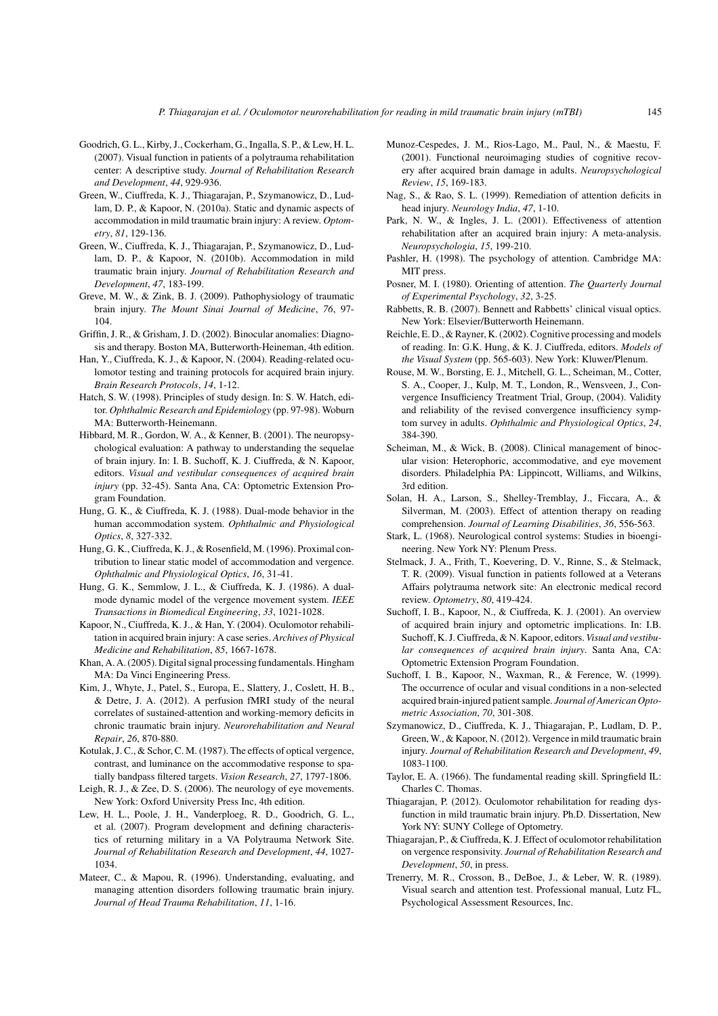- Goodrich, G. L., Kirby, J., Cockerham, G., Ingalla, S. P., & Lew, H. L. (2007). Visual function in patients of a polytrauma rehabilitation center: A descriptive study. *Journal of Rehabilitation Research and Development*, *44*, 929-936.
- Green, W., Ciuffreda, K. J., Thiagarajan, P., Szymanowicz, D., Ludlam, D. P., & Kapoor, N. (2010a). Static and dynamic aspects of accommodation in mild traumatic brain injury: A review. *Optometry*, *81*, 129-136.
- Green, W., Ciuffreda, K. J., Thiagarajan, P., Szymanowicz, D., Ludlam, D. P., & Kapoor, N. (2010b). Accommodation in mild traumatic brain injury. *Journal of Rehabilitation Research and Development*, *47*, 183-199.
- Greve, M. W., & Zink, B. J. (2009). Pathophysiology of traumatic brain injury. *The Mount Sinai Journal of Medicine*, *76*, 97- 104.
- Griffin, J. R., & Grisham, J. D. (2002). Binocular anomalies: Diagnosis and therapy. Boston MA, Butterworth-Heineman, 4th edition.
- Han, Y., Ciuffreda, K. J., & Kapoor, N. (2004). Reading-related oculomotor testing and training protocols for acquired brain injury. *Brain Research Protocols*, *14*, 1-12.
- Hatch, S. W. (1998). Principles of study design. In: S. W. Hatch, editor. *Ophthalmic Research and Epidemiology* (pp. 97-98). Woburn MA: Butterworth-Heinemann.
- Hibbard, M. R., Gordon, W. A., & Kenner, B. (2001). The neuropsychological evaluation: A pathway to understanding the sequelae of brain injury. In: I. B. Suchoff, K. J. Ciuffreda, & N. Kapoor, editors. *Visual and vestibular consequences of acquired brain injury* (pp. 32-45). Santa Ana, CA: Optometric Extension Program Foundation.
- Hung, G. K., & Ciuffreda, K. J. (1988). Dual-mode behavior in the human accommodation system. *Ophthalmic and Physiological Optics*, *8*, 327-332.
- Hung, G. K., Ciuffreda, K. J., & Rosenfield, M. (1996). Proximal contribution to linear static model of accommodation and vergence. *Ophthalmic and Physiological Optics*, *16*, 31-41.
- Hung, G. K., Semmlow, J. L., & Ciuffreda, K. J. (1986). A dualmode dynamic model of the vergence movement system. *IEEE Transactions in Biomedical Engineering*, *33*, 1021-1028.
- Kapoor, N., Ciuffreda, K. J., & Han, Y. (2004). Oculomotor rehabilitation in acquired brain injury: A case series. *Archives of Physical Medicine and Rehabilitation*, *85*, 1667-1678.
- Khan, A. A. (2005). Digital signal processing fundamentals. Hingham MA: Da Vinci Engineering Press.
- Kim, J., Whyte, J., Patel, S., Europa, E., Slattery, J., Coslett, H. B., & Detre, J. A. (2012). A perfusion fMRI study of the neural correlates of sustained-attention and working-memory deficits in chronic traumatic brain injury. *Neurorehabilitation and Neural Repair*, *26*, 870-880.
- Kotulak, J. C., & Schor, C. M. (1987). The effects of optical vergence, contrast, and luminance on the accommodative response to spatially bandpass filtered targets. *Vision Research*, *27*, 1797-1806.
- Leigh, R. J., & Zee, D. S. (2006). The neurology of eye movements. New York: Oxford University Press Inc, 4th edition.
- Lew, H. L., Poole, J. H., Vanderploeg, R. D., Goodrich, G. L., et al. (2007). Program development and defining characteristics of returning military in a VA Polytrauma Network Site. *Journal of Rehabilitation Research and Development*, *44*, 1027- 1034.
- Mateer, C., & Mapou, R. (1996). Understanding, evaluating, and managing attention disorders following traumatic brain injury. *Journal of Head Trauma Rehabilitation*, *11*, 1-16.
- Munoz-Cespedes, J. M., Rios-Lago, M., Paul, N., & Maestu, F. (2001). Functional neuroimaging studies of cognitive recovery after acquired brain damage in adults. *Neuropsychological Review*, *15*, 169-183.
- Nag, S., & Rao, S. L. (1999). Remediation of attention deficits in head injury. *Neurology India*, *47*, 1-10.
- Park, N. W., & Ingles, J. L. (2001). Effectiveness of attention rehabilitation after an acquired brain injury: A meta-analysis. *Neuropsychologia*, *15*, 199-210.
- Pashler, H. (1998). The psychology of attention. Cambridge MA: MIT press.
- Posner, M. I. (1980). Orienting of attention. *The Quarterly Journal of Experimental Psychology*, *32*, 3-25.
- Rabbetts, R. B. (2007). Bennett and Rabbetts' clinical visual optics. New York: Elsevier/Butterworth Heinemann.
- Reichle, E. D., & Rayner, K. (2002). Cognitive processing and models of reading. In: G.K. Hung, & K. J. Ciuffreda, editors. *Models of the Visual System* (pp. 565-603). New York: Kluwer/Plenum.
- Rouse, M. W., Borsting, E. J., Mitchell, G. L., Scheiman, M., Cotter, S. A., Cooper, J., Kulp, M. T., London, R., Wensveen, J., Convergence Insufficiency Treatment Trial, Group, (2004). Validity and reliability of the revised convergence insufficiency symptom survey in adults. *Ophthalmic and Physiological Optics*, *24*, 384-390.
- Scheiman, M., & Wick, B. (2008). Clinical management of binocular vision: Heterophoric, accommodative, and eye movement disorders. Philadelphia PA: Lippincott, Williams, and Wilkins, 3rd edition.
- Solan, H. A., Larson, S., Shelley-Tremblay, J., Ficcara, A., & Silverman, M. (2003). Effect of attention therapy on reading comprehension. *Journal of Learning Disabilities*, *36*, 556-563.
- Stark, L. (1968). Neurological control systems: Studies in bioengineering. New York NY: Plenum Press.
- Stelmack, J. A., Frith, T., Koevering, D. V., Rinne, S., & Stelmack, T. R. (2009). Visual function in patients followed at a Veterans Affairs polytrauma network site: An electronic medical record review. *Optometry*, *80*, 419-424.
- Suchoff, I. B., Kapoor, N., & Ciuffreda, K. J. (2001). An overview of acquired brain injury and optometric implications. In: I.B. Suchoff, K. J. Ciuffreda, & N. Kapoor, editors. *Visual and vestibular consequences of acquired brain injury*. Santa Ana, CA: Optometric Extension Program Foundation.
- Suchoff, I. B., Kapoor, N., Waxman, R., & Ference, W. (1999). The occurrence of ocular and visual conditions in a non-selected acquired brain-injured patient sample. *Journal of American Optometric Association*, *70*, 301-308.
- Szymanowicz, D., Ciuffreda, K. J., Thiagarajan, P., Ludlam, D. P., Green, W., & Kapoor, N. (2012). Vergence in mild traumatic brain injury. *Journal of Rehabilitation Research and Development*, *49*, 1083-1100.
- Taylor, E. A. (1966). The fundamental reading skill. Springfield IL: Charles C. Thomas.
- Thiagarajan, P. (2012). Oculomotor rehabilitation for reading dysfunction in mild traumatic brain injury. Ph.D. Dissertation, New York NY: SUNY College of Optometry.
- Thiagarajan, P., & Ciuffreda, K. J. Effect of oculomotor rehabilitation on vergence responsivity. *Journal of Rehabilitation Research and Development*, *50*, in press.
- Trenerry, M. R., Crosson, B., DeBoe, J., & Leber, W. R. (1989). Visual search and attention test. Professional manual, Lutz FL, Psychological Assessment Resources, Inc.